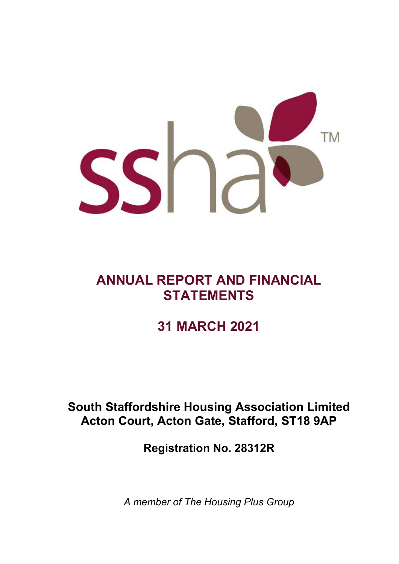

# **ANNUAL REPORT AND FINANCIAL STATEMENTS**

# **31 MARCH 2021**

# **South Staffordshire Housing Association Limited Acton Court, Acton Gate, Stafford, ST18 9AP**

**Registration No. 28312R**

*A member of The Housing Plus Group*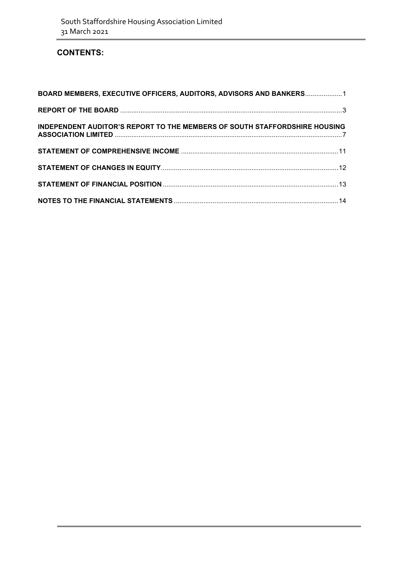### **CONTENTS:**

| BOARD MEMBERS, EXECUTIVE OFFICERS, AUDITORS, ADVISORS AND BANKERS 1        |  |
|----------------------------------------------------------------------------|--|
|                                                                            |  |
| INDEPENDENT AUDITOR'S REPORT TO THE MEMBERS OF SOUTH STAFFORDSHIRE HOUSING |  |
|                                                                            |  |
|                                                                            |  |
|                                                                            |  |
|                                                                            |  |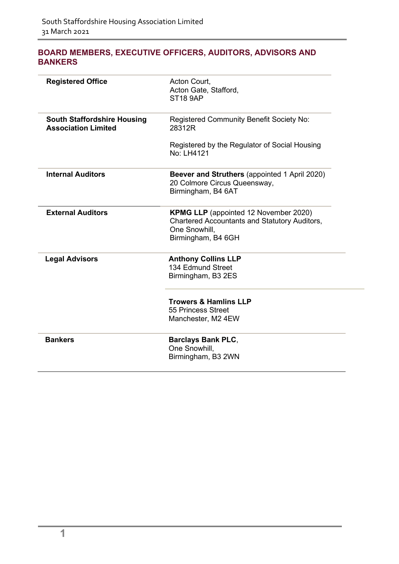### <span id="page-2-0"></span>**BOARD MEMBERS, EXECUTIVE OFFICERS, AUDITORS, ADVISORS AND BANKERS**

| <b>Registered Office</b>                                         | Acton Court,<br>Acton Gate, Stafford,<br><b>ST18 9AP</b>                                                                                    |
|------------------------------------------------------------------|---------------------------------------------------------------------------------------------------------------------------------------------|
| <b>South Staffordshire Housing</b><br><b>Association Limited</b> | Registered Community Benefit Society No:<br>28312R                                                                                          |
|                                                                  | Registered by the Regulator of Social Housing<br>No: LH4121                                                                                 |
| <b>Internal Auditors</b>                                         | <b>Beever and Struthers (appointed 1 April 2020)</b><br>20 Colmore Circus Queensway,<br>Birmingham, B4 6AT                                  |
| <b>External Auditors</b>                                         | <b>KPMG LLP</b> (appointed 12 November 2020)<br><b>Chartered Accountants and Statutory Auditors,</b><br>One Snowhill.<br>Birmingham, B4 6GH |
| <b>Legal Advisors</b>                                            | <b>Anthony Collins LLP</b><br>134 Edmund Street<br>Birmingham, B3 2ES                                                                       |
|                                                                  | <b>Trowers &amp; Hamlins LLP</b><br>55 Princess Street<br>Manchester, M2 4EW                                                                |
| <b>Bankers</b>                                                   | <b>Barclays Bank PLC,</b><br>One Snowhill,<br>Birmingham, B3 2WN                                                                            |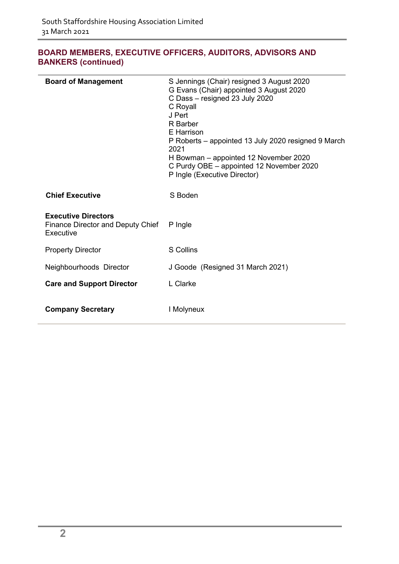### **BOARD MEMBERS, EXECUTIVE OFFICERS, AUDITORS, ADVISORS AND BANKERS (continued)**

| <b>Board of Management</b>                                                   | S Jennings (Chair) resigned 3 August 2020<br>G Evans (Chair) appointed 3 August 2020<br>C Dass - resigned 23 July 2020<br>C Royall<br>J Pert<br>R Barber<br>E Harrison<br>P Roberts – appointed 13 July 2020 resigned 9 March<br>2021<br>H Bowman – appointed 12 November 2020<br>C Purdy OBE - appointed 12 November 2020<br>P Ingle (Executive Director) |
|------------------------------------------------------------------------------|------------------------------------------------------------------------------------------------------------------------------------------------------------------------------------------------------------------------------------------------------------------------------------------------------------------------------------------------------------|
| <b>Chief Executive</b>                                                       | S Boden                                                                                                                                                                                                                                                                                                                                                    |
| <b>Executive Directors</b><br>Finance Director and Deputy Chief<br>Executive | P Ingle                                                                                                                                                                                                                                                                                                                                                    |
| <b>Property Director</b>                                                     | S Collins                                                                                                                                                                                                                                                                                                                                                  |
| Neighbourhoods Director                                                      | J Goode (Resigned 31 March 2021)                                                                                                                                                                                                                                                                                                                           |
| <b>Care and Support Director</b>                                             | L Clarke                                                                                                                                                                                                                                                                                                                                                   |
| <b>Company Secretary</b>                                                     | I Molyneux                                                                                                                                                                                                                                                                                                                                                 |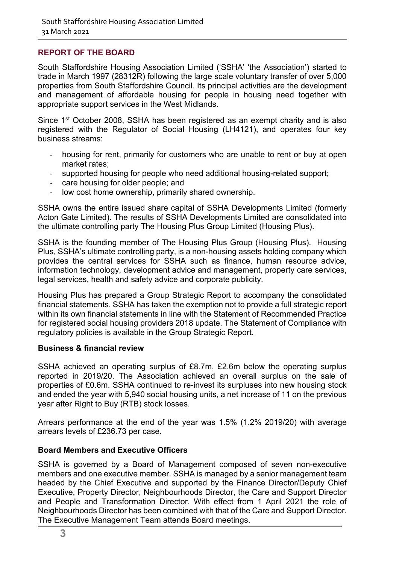### <span id="page-4-0"></span>**REPORT OF THE BOARD**

South Staffordshire Housing Association Limited ('SSHA' 'the Association') started to trade in March 1997 (28312R) following the large scale voluntary transfer of over 5,000 properties from South Staffordshire Council. Its principal activities are the development and management of affordable housing for people in housing need together with appropriate support services in the West Midlands.

Since 1<sup>st</sup> October 2008, SSHA has been registered as an exempt charity and is also registered with the Regulator of Social Housing (LH4121), and operates four key business streams:

- housing for rent, primarily for customers who are unable to rent or buy at open market rates;
- supported housing for people who need additional housing-related support;
- care housing for older people; and
- low cost home ownership, primarily shared ownership.

SSHA owns the entire issued share capital of SSHA Developments Limited (formerly Acton Gate Limited). The results of SSHA Developments Limited are consolidated into the ultimate controlling party The Housing Plus Group Limited (Housing Plus).

SSHA is the founding member of The Housing Plus Group (Housing Plus). Housing Plus, SSHA's ultimate controlling party, is a non-housing assets holding company which provides the central services for SSHA such as finance, human resource advice, information technology, development advice and management, property care services, legal services, health and safety advice and corporate publicity.

Housing Plus has prepared a Group Strategic Report to accompany the consolidated financial statements. SSHA has taken the exemption not to provide a full strategic report within its own financial statements in line with the Statement of Recommended Practice for registered social housing providers 2018 update. The Statement of Compliance with regulatory policies is available in the Group Strategic Report.

### **Business & financial review**

SSHA achieved an operating surplus of £8.7m, £2.6m below the operating surplus reported in 2019/20. The Association achieved an overall surplus on the sale of properties of £0.6m. SSHA continued to re-invest its surpluses into new housing stock and ended the year with 5,940 social housing units, a net increase of 11 on the previous year after Right to Buy (RTB) stock losses.

Arrears performance at the end of the year was 1.5% (1.2% 2019/20) with average arrears levels of £236.73 per case.

### **Board Members and Executive Officers**

SSHA is governed by a Board of Management composed of seven non-executive members and one executive member. SSHA is managed by a senior management team headed by the Chief Executive and supported by the Finance Director/Deputy Chief Executive, Property Director, Neighbourhoods Director, the Care and Support Director and People and Transformation Director. With effect from 1 April 2021 the role of Neighbourhoods Director has been combined with that of the Care and Support Director. The Executive Management Team attends Board meetings.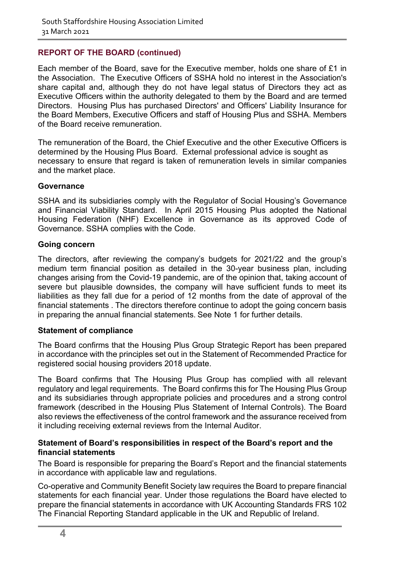### **REPORT OF THE BOARD (continued)**

Each member of the Board, save for the Executive member, holds one share of £1 in the Association. The Executive Officers of SSHA hold no interest in the Association's share capital and, although they do not have legal status of Directors they act as Executive Officers within the authority delegated to them by the Board and are termed Directors. Housing Plus has purchased Directors' and Officers' Liability Insurance for the Board Members, Executive Officers and staff of Housing Plus and SSHA. Members of the Board receive remuneration.

The remuneration of the Board, the Chief Executive and the other Executive Officers is determined by the Housing Plus Board. External professional advice is sought as necessary to ensure that regard is taken of remuneration levels in similar companies and the market place.

#### **Governance**

SSHA and its subsidiaries comply with the Regulator of Social Housing's Governance and Financial Viability Standard. In April 2015 Housing Plus adopted the National Housing Federation (NHF) Excellence in Governance as its approved Code of Governance. SSHA complies with the Code.

#### **Going concern**

The directors, after reviewing the company's budgets for 2021/22 and the group's medium term financial position as detailed in the 30-year business plan, including changes arising from the Covid-19 pandemic, are of the opinion that, taking account of severe but plausible downsides, the company will have sufficient funds to meet its liabilities as they fall due for a period of 12 months from the date of approval of the financial statements . The directors therefore continue to adopt the going concern basis in preparing the annual financial statements. See Note 1 for further details.

#### **Statement of compliance**

The Board confirms that the Housing Plus Group Strategic Report has been prepared in accordance with the principles set out in the Statement of Recommended Practice for registered social housing providers 2018 update.

The Board confirms that The Housing Plus Group has complied with all relevant regulatory and legal requirements. The Board confirms this for The Housing Plus Group and its subsidiaries through appropriate policies and procedures and a strong control framework (described in the Housing Plus Statement of Internal Controls). The Board also reviews the effectiveness of the control framework and the assurance received from it including receiving external reviews from the Internal Auditor.

### **Statement of Board's responsibilities in respect of the Board's report and the financial statements**

The Board is responsible for preparing the Board's Report and the financial statements in accordance with applicable law and regulations.

Co-operative and Community Benefit Society law requires the Board to prepare financial statements for each financial year. Under those regulations the Board have elected to prepare the financial statements in accordance with UK Accounting Standards FRS 102 The Financial Reporting Standard applicable in the UK and Republic of Ireland.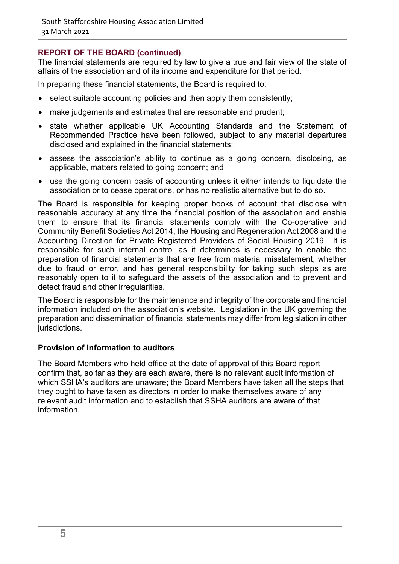### **REPORT OF THE BOARD (continued)**

The financial statements are required by law to give a true and fair view of the state of affairs of the association and of its income and expenditure for that period.

In preparing these financial statements, the Board is required to:

- select suitable accounting policies and then apply them consistently;
- make judgements and estimates that are reasonable and prudent;
- state whether applicable UK Accounting Standards and the Statement of Recommended Practice have been followed, subject to any material departures disclosed and explained in the financial statements;
- assess the association's ability to continue as a going concern, disclosing, as applicable, matters related to going concern; and
- use the going concern basis of accounting unless it either intends to liquidate the association or to cease operations, or has no realistic alternative but to do so.

The Board is responsible for keeping proper books of account that disclose with reasonable accuracy at any time the financial position of the association and enable them to ensure that its financial statements comply with the Co-operative and Community Benefit Societies Act 2014, the Housing and Regeneration Act 2008 and the Accounting Direction for Private Registered Providers of Social Housing 2019. It is responsible for such internal control as it determines is necessary to enable the preparation of financial statements that are free from material misstatement, whether due to fraud or error, and has general responsibility for taking such steps as are reasonably open to it to safeguard the assets of the association and to prevent and detect fraud and other irregularities.

The Board is responsible for the maintenance and integrity of the corporate and financial information included on the association's website. Legislation in the UK governing the preparation and dissemination of financial statements may differ from legislation in other jurisdictions.

### **Provision of information to auditors**

The Board Members who held office at the date of approval of this Board report confirm that, so far as they are each aware, there is no relevant audit information of which SSHA's auditors are unaware; the Board Members have taken all the steps that they ought to have taken as directors in order to make themselves aware of any relevant audit information and to establish that SSHA auditors are aware of that information.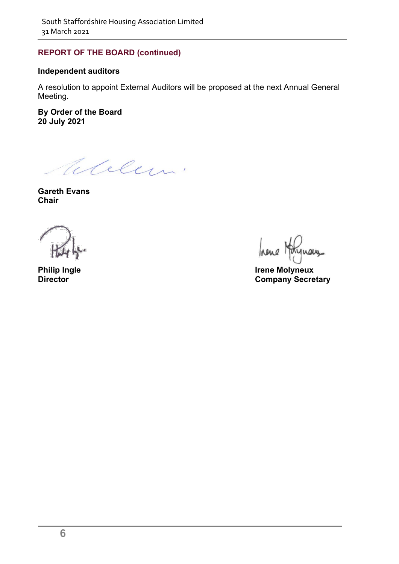### **REPORT OF THE BOARD (continued)**

### **Independent auditors**

A resolution to appoint External Auditors will be proposed at the next Annual General Meeting.

**By Order of the Board 20 July 2021**

Elelen.

**Gareth Evans Chair**

<span id="page-7-0"></span>

Inene 1 new

**Philip Ingle**<br> **Director**<br> **Director**<br> **Director Company Secretary**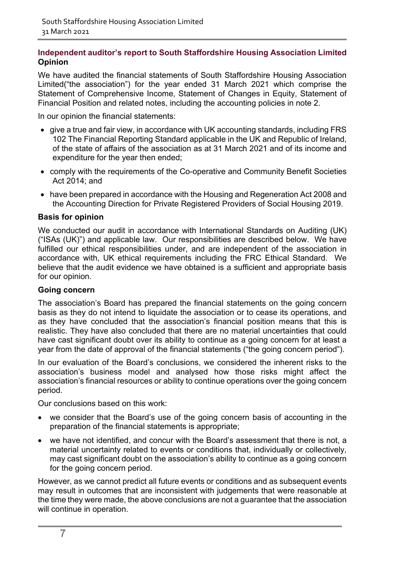### **Independent auditor's report to South Staffordshire Housing Association Limited Opinion**

We have audited the financial statements of South Staffordshire Housing Association Limited("the association") for the year ended 31 March 2021 which comprise the Statement of Comprehensive Income, Statement of Changes in Equity, Statement of Financial Position and related notes, including the accounting policies in note 2.

In our opinion the financial statements:

- give a true and fair view, in accordance with UK accounting standards, including FRS 102 The Financial Reporting Standard applicable in the UK and Republic of Ireland, of the state of affairs of the association as at 31 March 2021 and of its income and expenditure for the year then ended;
- comply with the requirements of the Co-operative and Community Benefit Societies Act 2014; and
- have been prepared in accordance with the Housing and Regeneration Act 2008 and the Accounting Direction for Private Registered Providers of Social Housing 2019.

### **Basis for opinion**

We conducted our audit in accordance with International Standards on Auditing (UK) ("ISAs (UK)") and applicable law. Our responsibilities are described below. We have fulfilled our ethical responsibilities under, and are independent of the association in accordance with, UK ethical requirements including the FRC Ethical Standard. We believe that the audit evidence we have obtained is a sufficient and appropriate basis for our opinion.

#### **Going concern**

The association's Board has prepared the financial statements on the going concern basis as they do not intend to liquidate the association or to cease its operations, and as they have concluded that the association's financial position means that this is realistic. They have also concluded that there are no material uncertainties that could have cast significant doubt over its ability to continue as a going concern for at least a year from the date of approval of the financial statements ("the going concern period").

In our evaluation of the Board's conclusions, we considered the inherent risks to the association's business model and analysed how those risks might affect the association's financial resources or ability to continue operations over the going concern period.

Our conclusions based on this work:

- we consider that the Board's use of the going concern basis of accounting in the preparation of the financial statements is appropriate;
- we have not identified, and concur with the Board's assessment that there is not, a material uncertainty related to events or conditions that, individually or collectively, may cast significant doubt on the association's ability to continue as a going concern for the going concern period.

However, as we cannot predict all future events or conditions and as subsequent events may result in outcomes that are inconsistent with judgements that were reasonable at the time they were made, the above conclusions are not a guarantee that the association will continue in operation.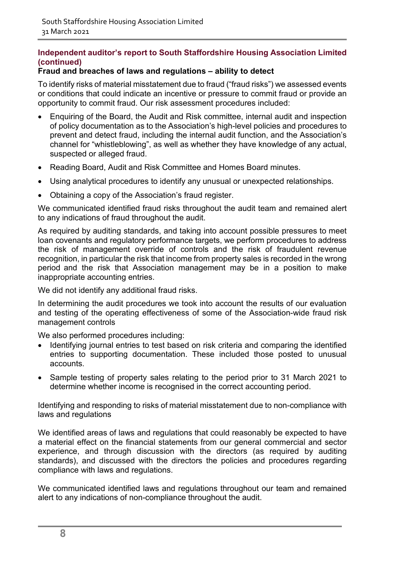### **Independent auditor's report to South Staffordshire Housing Association Limited (continued)**

### **Fraud and breaches of laws and regulations – ability to detect**

To identify risks of material misstatement due to fraud ("fraud risks") we assessed events or conditions that could indicate an incentive or pressure to commit fraud or provide an opportunity to commit fraud. Our risk assessment procedures included:

- Enquiring of the Board, the Audit and Risk committee, internal audit and inspection of policy documentation as to the Association's high-level policies and procedures to prevent and detect fraud, including the internal audit function, and the Association's channel for "whistleblowing", as well as whether they have knowledge of any actual, suspected or alleged fraud.
- Reading Board, Audit and Risk Committee and Homes Board minutes.
- Using analytical procedures to identify any unusual or unexpected relationships.
- Obtaining a copy of the Association's fraud register.

We communicated identified fraud risks throughout the audit team and remained alert to any indications of fraud throughout the audit.

As required by auditing standards, and taking into account possible pressures to meet loan covenants and regulatory performance targets, we perform procedures to address the risk of management override of controls and the risk of fraudulent revenue recognition, in particular the risk that income from property sales is recorded in the wrong period and the risk that Association management may be in a position to make inappropriate accounting entries.

We did not identify any additional fraud risks.

In determining the audit procedures we took into account the results of our evaluation and testing of the operating effectiveness of some of the Association-wide fraud risk management controls

We also performed procedures including:

- Identifying journal entries to test based on risk criteria and comparing the identified entries to supporting documentation. These included those posted to unusual accounts.
- Sample testing of property sales relating to the period prior to 31 March 2021 to determine whether income is recognised in the correct accounting period.

Identifying and responding to risks of material misstatement due to non-compliance with laws and regulations

We identified areas of laws and regulations that could reasonably be expected to have a material effect on the financial statements from our general commercial and sector experience, and through discussion with the directors (as required by auditing standards), and discussed with the directors the policies and procedures regarding compliance with laws and regulations.

We communicated identified laws and regulations throughout our team and remained alert to any indications of non-compliance throughout the audit.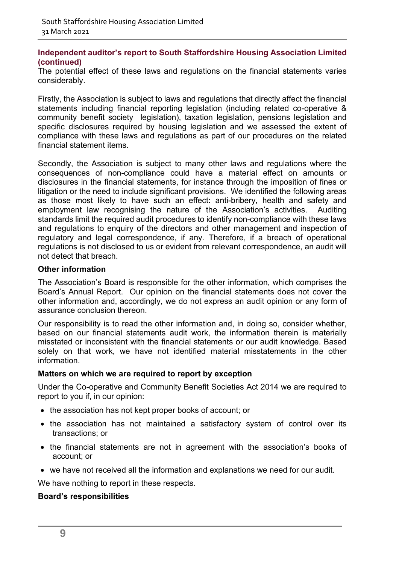### **Independent auditor's report to South Staffordshire Housing Association Limited (continued)**

The potential effect of these laws and regulations on the financial statements varies considerably.

Firstly, the Association is subject to laws and regulations that directly affect the financial statements including financial reporting legislation (including related co-operative & community benefit society legislation), taxation legislation, pensions legislation and specific disclosures required by housing legislation and we assessed the extent of compliance with these laws and regulations as part of our procedures on the related financial statement items.

Secondly, the Association is subject to many other laws and regulations where the consequences of non-compliance could have a material effect on amounts or disclosures in the financial statements, for instance through the imposition of fines or litigation or the need to include significant provisions. We identified the following areas as those most likely to have such an effect: anti-bribery, health and safety and employment law recognising the nature of the Association's activities. Auditing standards limit the required audit procedures to identify non-compliance with these laws and regulations to enquiry of the directors and other management and inspection of regulatory and legal correspondence, if any. Therefore, if a breach of operational regulations is not disclosed to us or evident from relevant correspondence, an audit will not detect that breach.

### **Other information**

The Association's Board is responsible for the other information, which comprises the Board's Annual Report. Our opinion on the financial statements does not cover the other information and, accordingly, we do not express an audit opinion or any form of assurance conclusion thereon.

Our responsibility is to read the other information and, in doing so, consider whether, based on our financial statements audit work, the information therein is materially misstated or inconsistent with the financial statements or our audit knowledge. Based solely on that work, we have not identified material misstatements in the other information.

#### **Matters on which we are required to report by exception**

Under the Co-operative and Community Benefit Societies Act 2014 we are required to report to you if, in our opinion:

- the association has not kept proper books of account; or
- the association has not maintained a satisfactory system of control over its transactions; or
- the financial statements are not in agreement with the association's books of account; or
- we have not received all the information and explanations we need for our audit.

We have nothing to report in these respects.

### **Board's responsibilities**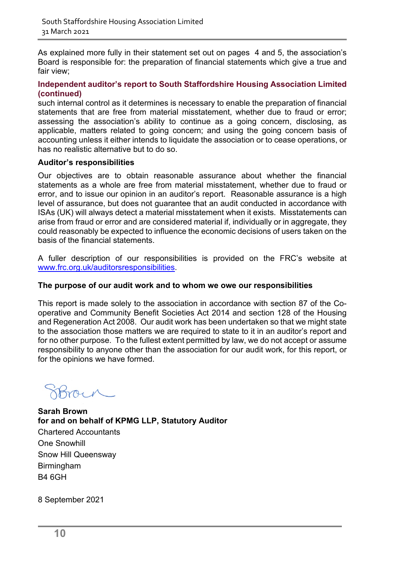As explained more fully in their statement set out on pages 4 and 5, the association's Board is responsible for: the preparation of financial statements which give a true and fair view;

### **Independent auditor's report to South Staffordshire Housing Association Limited (continued)**

such internal control as it determines is necessary to enable the preparation of financial statements that are free from material misstatement, whether due to fraud or error; assessing the association's ability to continue as a going concern, disclosing, as applicable, matters related to going concern; and using the going concern basis of accounting unless it either intends to liquidate the association or to cease operations, or has no realistic alternative but to do so.

### **Auditor's responsibilities**

Our objectives are to obtain reasonable assurance about whether the financial statements as a whole are free from material misstatement, whether due to fraud or error, and to issue our opinion in an auditor's report. Reasonable assurance is a high level of assurance, but does not guarantee that an audit conducted in accordance with ISAs (UK) will always detect a material misstatement when it exists. Misstatements can arise from fraud or error and are considered material if, individually or in aggregate, they could reasonably be expected to influence the economic decisions of users taken on the basis of the financial statements.

A fuller description of our responsibilities is provided on the FRC's website at [www.frc.org.uk/auditorsresponsibilities.](http://www.frc.org.uk/auditorsresponsibilities)

### **The purpose of our audit work and to whom we owe our responsibilities**

This report is made solely to the association in accordance with section 87 of the Cooperative and Community Benefit Societies Act 2014 and section 128 of the Housing and Regeneration Act 2008. Our audit work has been undertaken so that we might state to the association those matters we are required to state to it in an auditor's report and for no other purpose. To the fullest extent permitted by law, we do not accept or assume responsibility to anyone other than the association for our audit work, for this report, or for the opinions we have formed.

**Sarah Brown for and on behalf of KPMG LLP, Statutory Auditor**  Chartered Accountants One Snowhill Snow Hill Queensway Birmingham B4 6GH

8 September 2021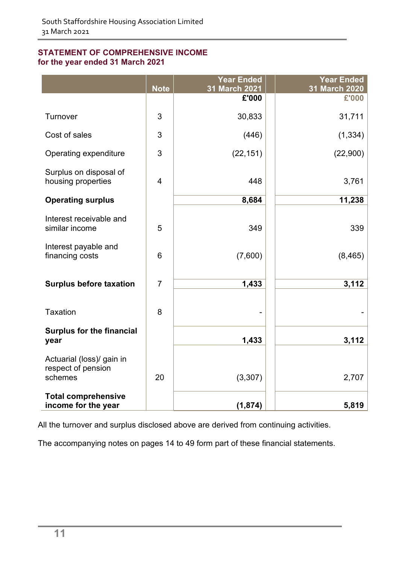### <span id="page-12-0"></span>**STATEMENT OF COMPREHENSIVE INCOME for the year ended 31 March 2021**

|                                                            | <b>Note</b>    | <b>Year Ended</b><br>31 March 2021 | <b>Year Ended</b><br>31 March 2020 |
|------------------------------------------------------------|----------------|------------------------------------|------------------------------------|
|                                                            |                | £'000                              | £'000                              |
| Turnover                                                   | 3              | 30,833                             | 31,711                             |
| Cost of sales                                              | 3              | (446)                              | (1, 334)                           |
| Operating expenditure                                      | 3              | (22, 151)                          | (22,900)                           |
| Surplus on disposal of<br>housing properties               | $\overline{4}$ | 448                                | 3,761                              |
| <b>Operating surplus</b>                                   |                | 8,684                              | 11,238                             |
| Interest receivable and<br>similar income                  | 5              | 349                                | 339                                |
| Interest payable and<br>financing costs                    | 6              | (7,600)                            | (8, 465)                           |
| <b>Surplus before taxation</b>                             | $\overline{7}$ | 1,433                              | 3,112                              |
| <b>Taxation</b>                                            | 8              |                                    |                                    |
| <b>Surplus for the financial</b><br>year                   |                | 1,433                              | 3,112                              |
| Actuarial (loss)/ gain in<br>respect of pension<br>schemes | 20             | (3, 307)                           | 2,707                              |
| <b>Total comprehensive</b><br>income for the year          |                | (1, 874)                           | 5,819                              |

All the turnover and surplus disclosed above are derived from continuing activities.

The accompanying notes on pages 14 to 49 form part of these financial statements.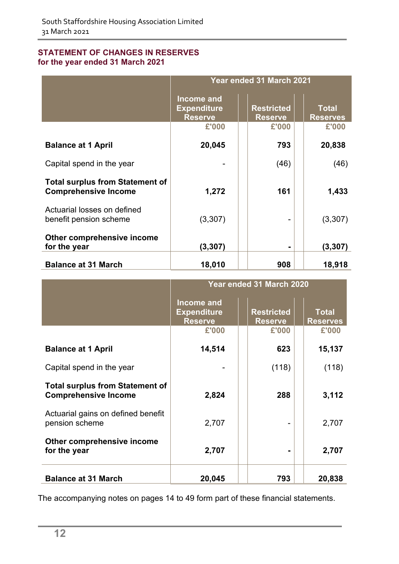### <span id="page-13-0"></span>**STATEMENT OF CHANGES IN RESERVES for the year ended 31 March 2021**

|                                                                       | Year ended 31 March 2021                                  |                                     |                                 |  |  |
|-----------------------------------------------------------------------|-----------------------------------------------------------|-------------------------------------|---------------------------------|--|--|
|                                                                       | <b>Income and</b><br><b>Expenditure</b><br><b>Reserve</b> | <b>Restricted</b><br><b>Reserve</b> | <b>Total</b><br><b>Reserves</b> |  |  |
|                                                                       | £'000                                                     | £'000                               | £'000                           |  |  |
| <b>Balance at 1 April</b>                                             | 20,045                                                    | 793                                 | 20,838                          |  |  |
| Capital spend in the year                                             |                                                           | (46)                                | (46)                            |  |  |
| <b>Total surplus from Statement of</b><br><b>Comprehensive Income</b> | 1,272                                                     | 161                                 | 1,433                           |  |  |
| Actuarial losses on defined<br>benefit pension scheme                 | (3,307)                                                   |                                     | (3,307)                         |  |  |
| Other comprehensive income<br>for the year                            | (3,307)                                                   |                                     | (3,307)                         |  |  |
| <b>Balance at 31 March</b>                                            | 18,010                                                    | 908                                 | 18,918                          |  |  |

|                                                                       | Year ended 31 March 2020                           |                                     |                                 |  |  |
|-----------------------------------------------------------------------|----------------------------------------------------|-------------------------------------|---------------------------------|--|--|
|                                                                       | Income and<br><b>Expenditure</b><br><b>Reserve</b> | <b>Restricted</b><br><b>Reserve</b> | <b>Total</b><br><b>Reserves</b> |  |  |
|                                                                       | £'000                                              | £'000                               | £'000                           |  |  |
| <b>Balance at 1 April</b>                                             | 14,514                                             | 623                                 | 15,137                          |  |  |
| Capital spend in the year                                             |                                                    | (118)                               | (118)                           |  |  |
| <b>Total surplus from Statement of</b><br><b>Comprehensive Income</b> | 2,824                                              | 288                                 | 3,112                           |  |  |
| Actuarial gains on defined benefit<br>pension scheme                  | 2,707                                              |                                     | 2,707                           |  |  |
| Other comprehensive income<br>for the year                            | 2,707                                              |                                     | 2,707                           |  |  |
| <b>Balance at 31 March</b>                                            | 20,045                                             | 793                                 | 20,838                          |  |  |

The accompanying notes on pages 14 to 49 form part of these financial statements.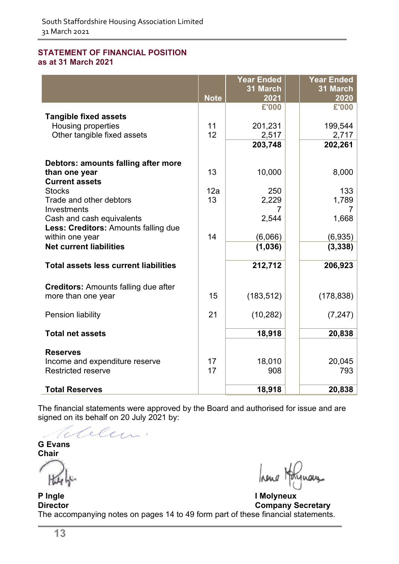#### <span id="page-14-0"></span>**STATEMENT OF FINANCIAL POSITION as at 31 March 2021**

|                                                   |             | <b>Year Ended</b> | <b>Year Ended</b> |
|---------------------------------------------------|-------------|-------------------|-------------------|
|                                                   | <b>Note</b> | 31 March<br>2021  | 31 March<br>2020  |
|                                                   |             | £'000             | £'000             |
| <b>Tangible fixed assets</b>                      |             |                   |                   |
| <b>Housing properties</b>                         | 11          | 201,231           | 199,544           |
| Other tangible fixed assets                       | 12          | 2,517             | 2,717             |
|                                                   |             | 203,748           | 202,261           |
| Debtors: amounts falling after more               |             |                   |                   |
| than one year                                     | 13          | 10,000            | 8,000             |
| <b>Current assets</b>                             |             |                   |                   |
| <b>Stocks</b>                                     | 12a         | 250               | 133               |
| Trade and other debtors                           | 13          | 2,229             | 1,789             |
| Investments<br>Cash and cash equivalents          |             | 2,544             | 7<br>1,668        |
| Less: Creditors: Amounts falling due              |             |                   |                   |
| within one year                                   | 14          | (6,066)           | (6,935)           |
| <b>Net current liabilities</b>                    |             | (1,036)           | (3, 338)          |
|                                                   |             |                   |                   |
| <b>Total assets less current liabilities</b>      |             | 212,712           | 206,923           |
| <b>Creditors:</b> Amounts falling due after       |             |                   |                   |
| more than one year                                | 15          | (183, 512)        | (178, 838)        |
|                                                   |             |                   |                   |
| Pension liability                                 | 21          | (10, 282)         | (7, 247)          |
| <b>Total net assets</b>                           |             | 18,918            | 20,838            |
|                                                   |             |                   |                   |
| <b>Reserves</b><br>Income and expenditure reserve | 17          | 18,010            | 20,045            |
| <b>Restricted reserve</b>                         | 17          | 908               | 793               |
|                                                   |             |                   |                   |
| <b>Total Reserves</b>                             |             | 18,918            | 20,838            |

The financial statements were approved by the Board and authorised for issue and are signed on its behalf on 20 July 2021 by:

Telelu.

**G Evans Chair**

**P Ingle I Molyneux Company Secretary** The accompanying notes on pages 14 to 49 form part of these financial statements.

hene nay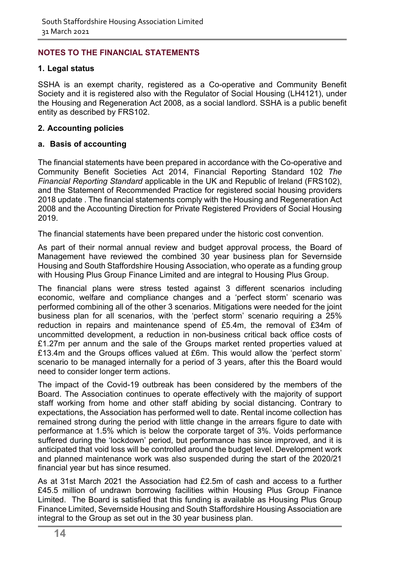### <span id="page-15-0"></span>**NOTES TO THE FINANCIAL STATEMENTS**

### **1. Legal status**

SSHA is an exempt charity, registered as a Co-operative and Community Benefit Society and it is registered also with the Regulator of Social Housing (LH4121), under the Housing and Regeneration Act 2008, as a social landlord. SSHA is a public benefit entity as described by FRS102.

### **2. Accounting policies**

### **a. Basis of accounting**

The financial statements have been prepared in accordance with the Co-operative and Community Benefit Societies Act 2014, Financial Reporting Standard 102 *The Financial Reporting Standard* applicable in the UK and Republic of Ireland (FRS102), and the Statement of Recommended Practice for registered social housing providers 2018 update . The financial statements comply with the Housing and Regeneration Act 2008 and the Accounting Direction for Private Registered Providers of Social Housing 2019.

The financial statements have been prepared under the historic cost convention.

As part of their normal annual review and budget approval process, the Board of Management have reviewed the combined 30 year business plan for Severnside Housing and South Staffordshire Housing Association, who operate as a funding group with Housing Plus Group Finance Limited and are integral to Housing Plus Group.

The financial plans were stress tested against 3 different scenarios including economic, welfare and compliance changes and a 'perfect storm' scenario was performed combining all of the other 3 scenarios. Mitigations were needed for the joint business plan for all scenarios, with the 'perfect storm' scenario requiring a 25% reduction in repairs and maintenance spend of £5.4m, the removal of £34m of uncommitted development, a reduction in non-business critical back office costs of £1.27m per annum and the sale of the Groups market rented properties valued at £13.4m and the Groups offices valued at £6m. This would allow the 'perfect storm' scenario to be managed internally for a period of 3 years, after this the Board would need to consider longer term actions.

The impact of the Covid-19 outbreak has been considered by the members of the Board. The Association continues to operate effectively with the majority of support staff working from home and other staff abiding by social distancing. Contrary to expectations, the Association has performed well to date. Rental income collection has remained strong during the period with little change in the arrears figure to date with performance at 1.5% which is below the corporate target of 3%. Voids performance suffered during the 'lockdown' period, but performance has since improved, and it is anticipated that void loss will be controlled around the budget level. Development work and planned maintenance work was also suspended during the start of the 2020/21 financial year but has since resumed.

As at 31st March 2021 the Association had £2.5m of cash and access to a further £45.5 million of undrawn borrowing facilities within Housing Plus Group Finance Limited. The Board is satisfied that this funding is available as Housing Plus Group Finance Limited, Severnside Housing and South Staffordshire Housing Association are integral to the Group as set out in the 30 year business plan.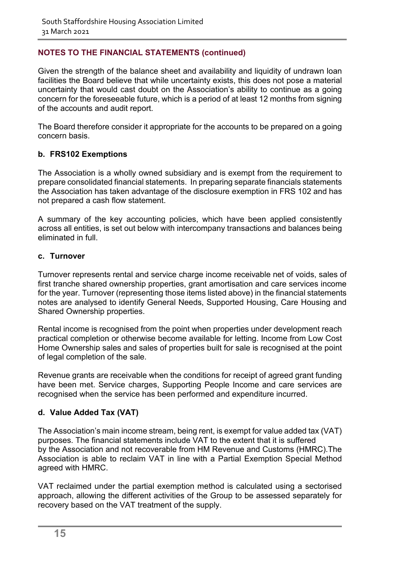Given the strength of the balance sheet and availability and liquidity of undrawn loan facilities the Board believe that while uncertainty exists, this does not pose a material uncertainty that would cast doubt on the Association's ability to continue as a going concern for the foreseeable future, which is a period of at least 12 months from signing of the accounts and audit report.

The Board therefore consider it appropriate for the accounts to be prepared on a going concern basis.

### **b. FRS102 Exemptions**

The Association is a wholly owned subsidiary and is exempt from the requirement to prepare consolidated financial statements. In preparing separate financials statements the Association has taken advantage of the disclosure exemption in FRS 102 and has not prepared a cash flow statement.

A summary of the key accounting policies, which have been applied consistently across all entities, is set out below with intercompany transactions and balances being eliminated in full.

### **c. Turnover**

Turnover represents rental and service charge income receivable net of voids, sales of first tranche shared ownership properties, grant amortisation and care services income for the year. Turnover (representing those items listed above) in the financial statements notes are analysed to identify General Needs, Supported Housing, Care Housing and Shared Ownership properties.

Rental income is recognised from the point when properties under development reach practical completion or otherwise become available for letting. Income from Low Cost Home Ownership sales and sales of properties built for sale is recognised at the point of legal completion of the sale.

Revenue grants are receivable when the conditions for receipt of agreed grant funding have been met. Service charges, Supporting People Income and care services are recognised when the service has been performed and expenditure incurred.

### **d. Value Added Tax (VAT)**

The Association's main income stream, being rent, is exempt for value added tax (VAT) purposes. The financial statements include VAT to the extent that it is suffered by the Association and not recoverable from HM Revenue and Customs (HMRC).The Association is able to reclaim VAT in line with a Partial Exemption Special Method agreed with HMRC.

VAT reclaimed under the partial exemption method is calculated using a sectorised approach, allowing the different activities of the Group to be assessed separately for recovery based on the VAT treatment of the supply.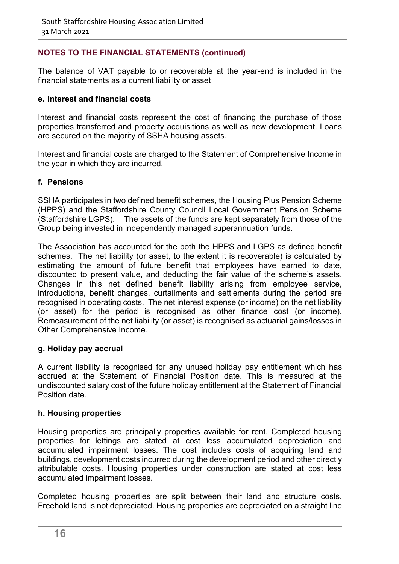The balance of VAT payable to or recoverable at the year-end is included in the financial statements as a current liability or asset

### **e. Interest and financial costs**

Interest and financial costs represent the cost of financing the purchase of those properties transferred and property acquisitions as well as new development. Loans are secured on the majority of SSHA housing assets.

Interest and financial costs are charged to the Statement of Comprehensive Income in the year in which they are incurred.

### **f. Pensions**

SSHA participates in two defined benefit schemes, the Housing Plus Pension Scheme (HPPS) and the Staffordshire County Council Local Government Pension Scheme (Staffordshire LGPS). The assets of the funds are kept separately from those of the Group being invested in independently managed superannuation funds.

The Association has accounted for the both the HPPS and LGPS as defined benefit schemes. The net liability (or asset, to the extent it is recoverable) is calculated by estimating the amount of future benefit that employees have earned to date, discounted to present value, and deducting the fair value of the scheme's assets. Changes in this net defined benefit liability arising from employee service, introductions, benefit changes, curtailments and settlements during the period are recognised in operating costs. The net interest expense (or income) on the net liability (or asset) for the period is recognised as other finance cost (or income). Remeasurement of the net liability (or asset) is recognised as actuarial gains/losses in Other Comprehensive Income.

#### **g. Holiday pay accrual**

A current liability is recognised for any unused holiday pay entitlement which has accrued at the Statement of Financial Position date. This is measured at the undiscounted salary cost of the future holiday entitlement at the Statement of Financial Position date.

### **h. Housing properties**

Housing properties are principally properties available for rent. Completed housing properties for lettings are stated at cost less accumulated depreciation and accumulated impairment losses. The cost includes costs of acquiring land and buildings, development costs incurred during the development period and other directly attributable costs. Housing properties under construction are stated at cost less accumulated impairment losses.

Completed housing properties are split between their land and structure costs. Freehold land is not depreciated. Housing properties are depreciated on a straight line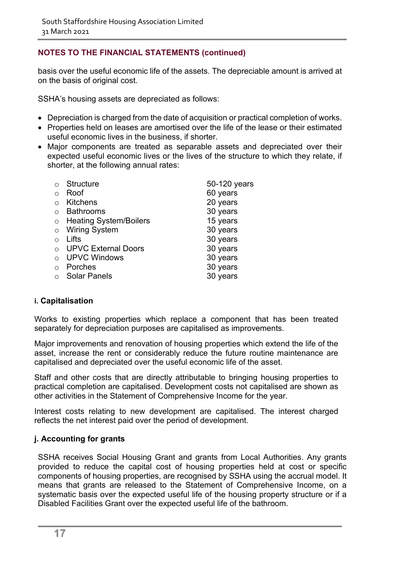basis over the useful economic life of the assets. The depreciable amount is arrived at on the basis of original cost.

SSHA's housing assets are depreciated as follows:

- Depreciation is charged from the date of acquisition or practical completion of works.
- Properties held on leases are amortised over the life of the lease or their estimated useful economic lives in the business, if shorter.
- Major components are treated as separable assets and depreciated over their expected useful economic lives or the lives of the structure to which they relate, if shorter, at the following annual rates:

| $\bigcap$  | <b>Structure</b>              | 50-120 years |
|------------|-------------------------------|--------------|
| $\bigcirc$ | Roof                          | 60 years     |
| $\bigcap$  | <b>Kitchens</b>               | 20 years     |
| $\bigcap$  | <b>Bathrooms</b>              | 30 years     |
| $\circ$    | <b>Heating System/Boilers</b> | 15 years     |
| $\circ$    | <b>Wiring System</b>          | 30 years     |
| ∩          | Lifts                         | 30 years     |
| $\bigcap$  | <b>UPVC External Doors</b>    | 30 years     |
|            | <b>UPVC Windows</b>           | 30 years     |
| $\bigcap$  | Porches                       | 30 years     |
|            | <b>Solar Panels</b>           | years        |

### **i. Capitalisation**

Works to existing properties which replace a component that has been treated separately for depreciation purposes are capitalised as improvements.

Major improvements and renovation of housing properties which extend the life of the asset, increase the rent or considerably reduce the future routine maintenance are capitalised and depreciated over the useful economic life of the asset.

Staff and other costs that are directly attributable to bringing housing properties to practical completion are capitalised. Development costs not capitalised are shown as other activities in the Statement of Comprehensive Income for the year.

Interest costs relating to new development are capitalised. The interest charged reflects the net interest paid over the period of development.

### **j. Accounting for grants**

SSHA receives Social Housing Grant and grants from Local Authorities. Any grants provided to reduce the capital cost of housing properties held at cost or specific components of housing properties, are recognised by SSHA using the accrual model. It means that grants are released to the Statement of Comprehensive Income, on a systematic basis over the expected useful life of the housing property structure or if a Disabled Facilities Grant over the expected useful life of the bathroom.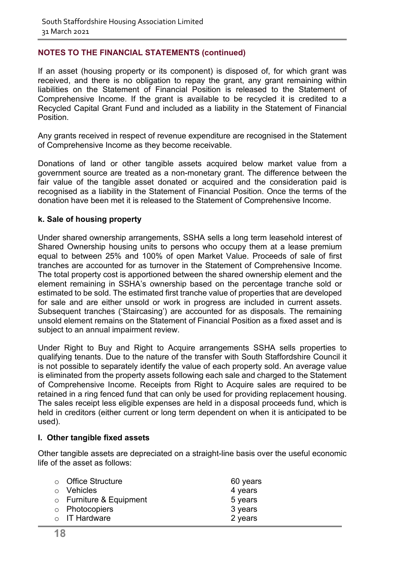If an asset (housing property or its component) is disposed of, for which grant was received, and there is no obligation to repay the grant, any grant remaining within liabilities on the Statement of Financial Position is released to the Statement of Comprehensive Income. If the grant is available to be recycled it is credited to a Recycled Capital Grant Fund and included as a liability in the Statement of Financial Position.

Any grants received in respect of revenue expenditure are recognised in the Statement of Comprehensive Income as they become receivable.

Donations of land or other tangible assets acquired below market value from a government source are treated as a non-monetary grant. The difference between the fair value of the tangible asset donated or acquired and the consideration paid is recognised as a liability in the Statement of Financial Position. Once the terms of the donation have been met it is released to the Statement of Comprehensive Income.

#### **k. Sale of housing property**

Under shared ownership arrangements, SSHA sells a long term leasehold interest of Shared Ownership housing units to persons who occupy them at a lease premium equal to between 25% and 100% of open Market Value. Proceeds of sale of first tranches are accounted for as turnover in the Statement of Comprehensive Income. The total property cost is apportioned between the shared ownership element and the element remaining in SSHA's ownership based on the percentage tranche sold or estimated to be sold. The estimated first tranche value of properties that are developed for sale and are either unsold or work in progress are included in current assets. Subsequent tranches ('Staircasing') are accounted for as disposals. The remaining unsold element remains on the Statement of Financial Position as a fixed asset and is subject to an annual impairment review.

Under Right to Buy and Right to Acquire arrangements SSHA sells properties to qualifying tenants. Due to the nature of the transfer with South Staffordshire Council it is not possible to separately identify the value of each property sold. An average value is eliminated from the property assets following each sale and charged to the Statement of Comprehensive Income. Receipts from Right to Acquire sales are required to be retained in a ring fenced fund that can only be used for providing replacement housing. The sales receipt less eligible expenses are held in a disposal proceeds fund, which is held in creditors (either current or long term dependent on when it is anticipated to be used).

#### **l. Other tangible fixed assets**

Other tangible assets are depreciated on a straight-line basis over the useful economic life of the asset as follows:

| $\circ$ Office Structure      | 60 years |
|-------------------------------|----------|
| $\circ$ Vehicles              | 4 years  |
| $\circ$ Furniture & Equipment | 5 years  |
| o Photocopiers                | 3 years  |
| $\circ$ IT Hardware           | 2 years  |
|                               |          |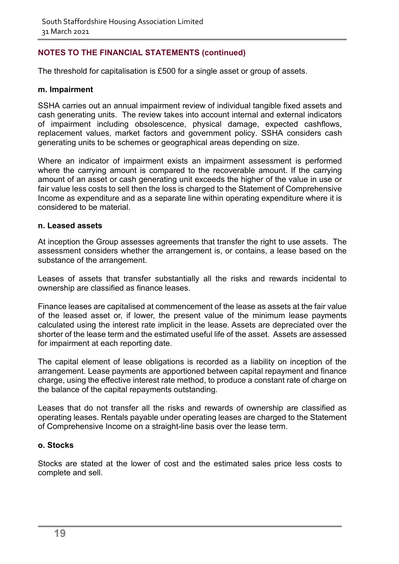The threshold for capitalisation is £500 for a single asset or group of assets.

#### **m. Impairment**

SSHA carries out an annual impairment review of individual tangible fixed assets and cash generating units. The review takes into account internal and external indicators of impairment including obsolescence, physical damage, expected cashflows, replacement values, market factors and government policy. SSHA considers cash generating units to be schemes or geographical areas depending on size.

Where an indicator of impairment exists an impairment assessment is performed where the carrying amount is compared to the recoverable amount. If the carrying amount of an asset or cash generating unit exceeds the higher of the value in use or fair value less costs to sell then the loss is charged to the Statement of Comprehensive Income as expenditure and as a separate line within operating expenditure where it is considered to be material.

#### **n. Leased assets**

At inception the Group assesses agreements that transfer the right to use assets. The assessment considers whether the arrangement is, or contains, a lease based on the substance of the arrangement.

Leases of assets that transfer substantially all the risks and rewards incidental to ownership are classified as finance leases.

Finance leases are capitalised at commencement of the lease as assets at the fair value of the leased asset or, if lower, the present value of the minimum lease payments calculated using the interest rate implicit in the lease. Assets are depreciated over the shorter of the lease term and the estimated useful life of the asset. Assets are assessed for impairment at each reporting date.

The capital element of lease obligations is recorded as a liability on inception of the arrangement. Lease payments are apportioned between capital repayment and finance charge, using the effective interest rate method, to produce a constant rate of charge on the balance of the capital repayments outstanding.

Leases that do not transfer all the risks and rewards of ownership are classified as operating leases. Rentals payable under operating leases are charged to the Statement of Comprehensive Income on a straight-line basis over the lease term.

#### **o. Stocks**

Stocks are stated at the lower of cost and the estimated sales price less costs to complete and sell.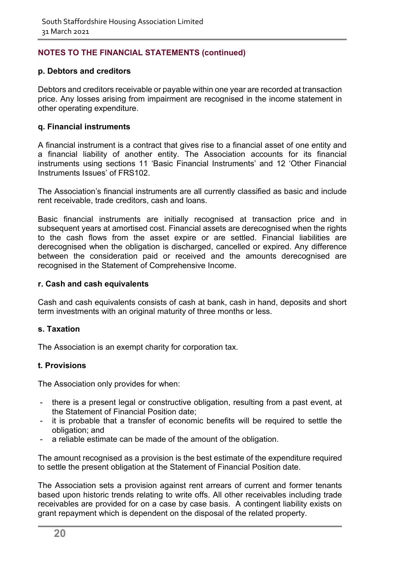### **p. Debtors and creditors**

Debtors and creditors receivable or payable within one year are recorded at transaction price. Any losses arising from impairment are recognised in the income statement in other operating expenditure.

#### **q. Financial instruments**

A financial instrument is a contract that gives rise to a financial asset of one entity and a financial liability of another entity. The Association accounts for its financial instruments using sections 11 'Basic Financial Instruments' and 12 'Other Financial Instruments Issues' of FRS102.

The Association's financial instruments are all currently classified as basic and include rent receivable, trade creditors, cash and loans.

Basic financial instruments are initially recognised at transaction price and in subsequent years at amortised cost. Financial assets are derecognised when the rights to the cash flows from the asset expire or are settled. Financial liabilities are derecognised when the obligation is discharged, cancelled or expired. Any difference between the consideration paid or received and the amounts derecognised are recognised in the Statement of Comprehensive Income.

#### **r. Cash and cash equivalents**

Cash and cash equivalents consists of cash at bank, cash in hand, deposits and short term investments with an original maturity of three months or less.

#### **s. Taxation**

The Association is an exempt charity for corporation tax.

#### **t. Provisions**

The Association only provides for when:

- there is a present legal or constructive obligation, resulting from a past event, at the Statement of Financial Position date;
- it is probable that a transfer of economic benefits will be required to settle the obligation; and
- a reliable estimate can be made of the amount of the obligation.

The amount recognised as a provision is the best estimate of the expenditure required to settle the present obligation at the Statement of Financial Position date.

The Association sets a provision against rent arrears of current and former tenants based upon historic trends relating to write offs. All other receivables including trade receivables are provided for on a case by case basis. A contingent liability exists on grant repayment which is dependent on the disposal of the related property.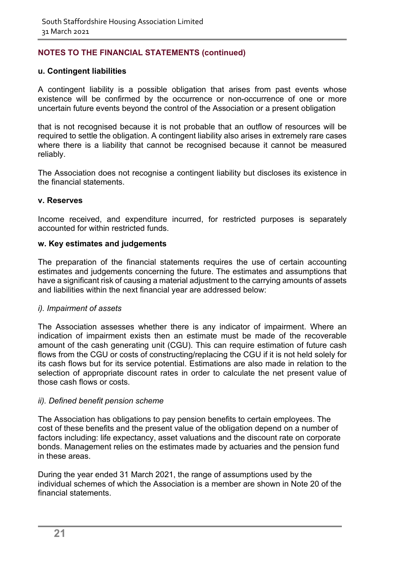### **u. Contingent liabilities**

A contingent liability is a possible obligation that arises from past events whose existence will be confirmed by the occurrence or non-occurrence of one or more uncertain future events beyond the control of the Association or a present obligation

that is not recognised because it is not probable that an outflow of resources will be required to settle the obligation. A contingent liability also arises in extremely rare cases where there is a liability that cannot be recognised because it cannot be measured reliably.

The Association does not recognise a contingent liability but discloses its existence in the financial statements.

#### **v. Reserves**

Income received, and expenditure incurred, for restricted purposes is separately accounted for within restricted funds.

#### **w. Key estimates and judgements**

The preparation of the financial statements requires the use of certain accounting estimates and judgements concerning the future. The estimates and assumptions that have a significant risk of causing a material adjustment to the carrying amounts of assets and liabilities within the next financial year are addressed below:

#### *i). Impairment of assets*

The Association assesses whether there is any indicator of impairment. Where an indication of impairment exists then an estimate must be made of the recoverable amount of the cash generating unit (CGU). This can require estimation of future cash flows from the CGU or costs of constructing/replacing the CGU if it is not held solely for its cash flows but for its service potential. Estimations are also made in relation to the selection of appropriate discount rates in order to calculate the net present value of those cash flows or costs.

#### *ii). Defined benefit pension scheme*

The Association has obligations to pay pension benefits to certain employees. The cost of these benefits and the present value of the obligation depend on a number of factors including: life expectancy, asset valuations and the discount rate on corporate bonds. Management relies on the estimates made by actuaries and the pension fund in these areas.

During the year ended 31 March 2021, the range of assumptions used by the individual schemes of which the Association is a member are shown in Note 20 of the financial statements.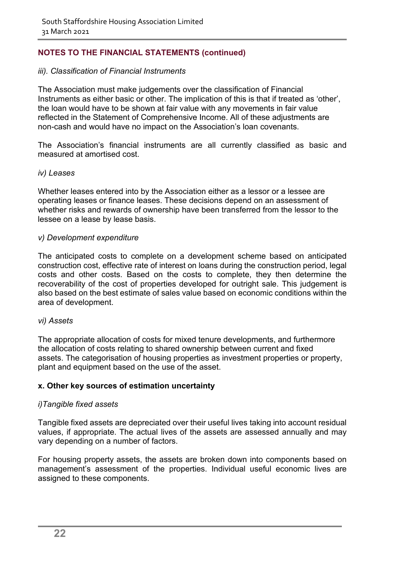#### *iii). Classification of Financial Instruments*

The Association must make judgements over the classification of Financial Instruments as either basic or other. The implication of this is that if treated as 'other', the loan would have to be shown at fair value with any movements in fair value reflected in the Statement of Comprehensive Income. All of these adjustments are non-cash and would have no impact on the Association's loan covenants.

The Association's financial instruments are all currently classified as basic and measured at amortised cost.

#### *iv) Leases*

Whether leases entered into by the Association either as a lessor or a lessee are operating leases or finance leases. These decisions depend on an assessment of whether risks and rewards of ownership have been transferred from the lessor to the lessee on a lease by lease basis.

#### *v) Development expenditure*

The anticipated costs to complete on a development scheme based on anticipated construction cost, effective rate of interest on loans during the construction period, legal costs and other costs. Based on the costs to complete, they then determine the recoverability of the cost of properties developed for outright sale. This judgement is also based on the best estimate of sales value based on economic conditions within the area of development.

#### *vi) Assets*

The appropriate allocation of costs for mixed tenure developments, and furthermore the allocation of costs relating to shared ownership between current and fixed assets. The categorisation of housing properties as investment properties or property, plant and equipment based on the use of the asset.

#### **x. Other key sources of estimation uncertainty**

#### *i)Tangible fixed assets*

Tangible fixed assets are depreciated over their useful lives taking into account residual values, if appropriate. The actual lives of the assets are assessed annually and may vary depending on a number of factors.

For housing property assets, the assets are broken down into components based on management's assessment of the properties. Individual useful economic lives are assigned to these components.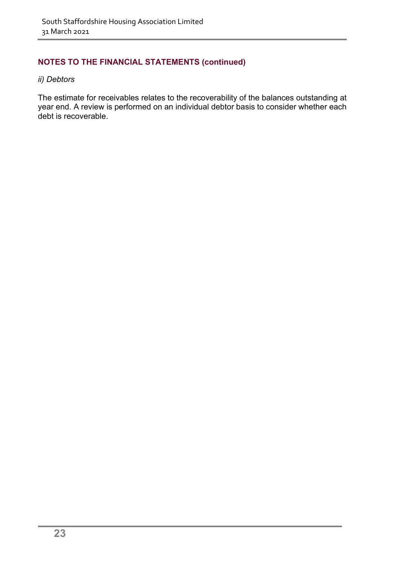#### *ii) Debtors*

The estimate for receivables relates to the recoverability of the balances outstanding at year end. A review is performed on an individual debtor basis to consider whether each debt is recoverable.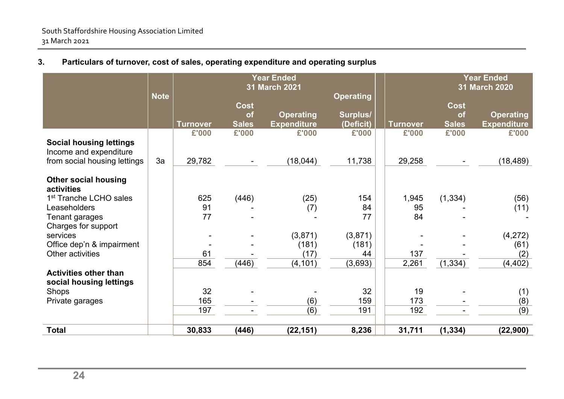|                                                          |             | <b>Year Ended</b><br>31 March 2021 |                                          |                                        |                                           |                 |                                   | <b>Year Ended</b><br>31 March 2020     |
|----------------------------------------------------------|-------------|------------------------------------|------------------------------------------|----------------------------------------|-------------------------------------------|-----------------|-----------------------------------|----------------------------------------|
|                                                          | <b>Note</b> | Turnover                           | <b>Cost</b><br><b>of</b><br><b>Sales</b> | <b>Operating</b><br><b>Expenditure</b> | <b>Operating</b><br>Surplus/<br>(Deficit) | <b>Turnover</b> | <b>Cost</b><br>of<br><b>Sales</b> | <b>Operating</b><br><b>Expenditure</b> |
|                                                          |             | £'000                              | £'000                                    | £'000                                  | £'000                                     | £'000           | £'000                             | £'000                                  |
| <b>Social housing lettings</b><br>Income and expenditure |             |                                    |                                          |                                        |                                           |                 |                                   |                                        |
| from social housing lettings                             | 3a          | 29,782                             |                                          | (18, 044)                              | 11,738                                    | 29,258          |                                   | (18, 489)                              |
| <b>Other social housing</b><br>activities                |             |                                    |                                          |                                        |                                           |                 |                                   |                                        |
| 1 <sup>st</sup> Tranche LCHO sales                       |             | 625                                | (446)                                    | (25)                                   | 154                                       | 1,945           | (1, 334)                          | (56)                                   |
| Leaseholders                                             |             | 91                                 |                                          | (7)                                    | 84                                        | 95              |                                   | (11)                                   |
| Tenant garages<br>Charges for support                    |             | 77                                 |                                          |                                        | 77                                        | 84              |                                   |                                        |
| services                                                 |             |                                    |                                          | (3,871)                                | (3,871)                                   |                 |                                   | (4,272)                                |
| Office dep'n & impairment                                |             |                                    |                                          | (181)                                  | (181)                                     |                 |                                   | (61)                                   |
| Other activities                                         |             | 61                                 |                                          | (17)                                   | 44                                        | 137             |                                   | (2)                                    |
|                                                          |             | 854                                | (446)                                    | (4, 101)                               | (3,693)                                   | 2,261           | (1, 334)                          | (4, 402)                               |
| <b>Activities other than</b><br>social housing lettings  |             |                                    |                                          |                                        |                                           |                 |                                   |                                        |
| <b>Shops</b>                                             |             | 32                                 |                                          |                                        | 32                                        | 19              |                                   | (1)                                    |
| Private garages                                          |             | 165                                |                                          | (6)                                    | 159                                       | 173             |                                   | (8)                                    |
|                                                          |             | 197                                |                                          | (6)                                    | 191                                       | 192             |                                   | (9)                                    |
| <b>Total</b>                                             |             | 30,833                             | (446)                                    | (22, 151)                              | 8,236                                     | 31,711          | (1, 334)                          | (22,900)                               |

### **3. Particulars of turnover, cost of sales, operating expenditure and operating surplus**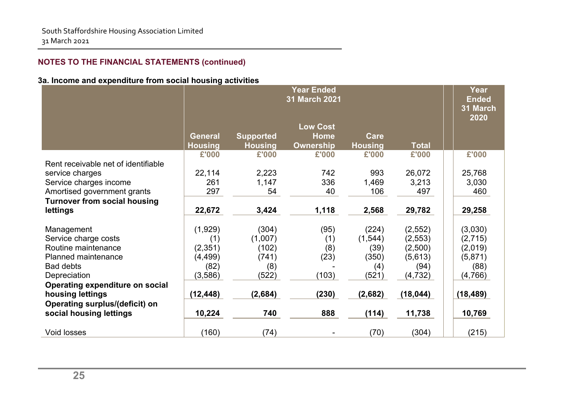### **3a. Income and expenditure from social housing activities**

|                                        | <b>Year Ended</b><br>31 March 2021 |                  |                                |                |              | <b>Year</b><br><b>Ended</b><br>31 March<br>2020 |
|----------------------------------------|------------------------------------|------------------|--------------------------------|----------------|--------------|-------------------------------------------------|
|                                        | <b>General</b>                     | <b>Supported</b> | <b>Low Cost</b><br><b>Home</b> | Care           |              |                                                 |
|                                        | <b>Housing</b>                     | <b>Housing</b>   | <b>Ownership</b>               | <b>Housing</b> | <b>Total</b> |                                                 |
|                                        | £'000                              | £'000            | £'000                          | £'000          | £'000        | £'000                                           |
| Rent receivable net of identifiable    |                                    |                  |                                |                |              |                                                 |
| service charges                        | 22,114                             | 2,223            | 742                            | 993            | 26,072       | 25,768                                          |
| Service charges income                 | 261                                | 1,147            | 336                            | 1,469          | 3,213        | 3,030                                           |
| Amortised government grants            | 297                                | 54               | 40                             | 106            | 497          | 460                                             |
| <b>Turnover from social housing</b>    |                                    |                  |                                |                |              |                                                 |
| lettings                               | 22,672                             | 3,424            | 1,118                          | 2,568          | 29,782       | 29,258                                          |
| Management                             | (1,929)                            | (304)            | (95)                           | (224)          | (2, 552)     | (3,030)                                         |
| Service charge costs                   | (1)                                | (1,007)          | (1)                            | (1, 544)       | (2,553)      | (2,715)                                         |
| Routine maintenance                    | (2, 351)                           | (102)            | (8)                            | (39)           | (2,500)      | (2,019)                                         |
| <b>Planned maintenance</b>             | (4, 499)                           | (741)            | (23)                           | (350)          | (5,613)      | (5,871)                                         |
| <b>Bad debts</b>                       | (82)                               | (8)              |                                | (4)            | (94)         | (88)                                            |
| Depreciation                           | (3,586)                            | (522)            | (103)                          | (521)          | (4, 732)     | (4,766)                                         |
| <b>Operating expenditure on social</b> |                                    |                  |                                |                |              |                                                 |
| housing lettings                       | (12, 448)                          | (2,684)          | (230)                          | (2,682)        | (18, 044)    | (18, 489)                                       |
| Operating surplus/(deficit) on         |                                    |                  |                                |                |              |                                                 |
| social housing lettings                | 10,224                             | 740              | 888                            | (114)          | 11,738       | 10,769                                          |
|                                        |                                    |                  |                                |                |              |                                                 |
| <b>Void losses</b>                     | (160)                              | (74)             |                                | (70)           | (304)        | (215)                                           |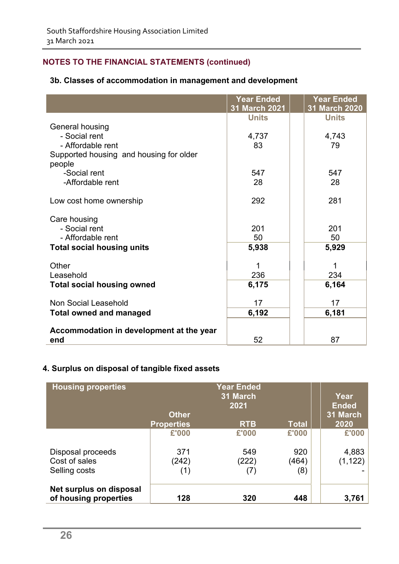### **3b. Classes of accommodation in management and development**

|                                                   | <b>Year Ended</b><br>31 March 2021 | <b>Year Ended</b><br>31 March 2020 |
|---------------------------------------------------|------------------------------------|------------------------------------|
|                                                   | <b>Units</b>                       | <b>Units</b>                       |
| General housing                                   |                                    |                                    |
| - Social rent                                     | 4,737                              | 4,743                              |
| - Affordable rent                                 | 83                                 | 79                                 |
| Supported housing and housing for older<br>people |                                    |                                    |
| -Social rent                                      | 547                                | 547                                |
| -Affordable rent                                  | 28                                 | 28                                 |
| Low cost home ownership                           | 292                                | 281                                |
| Care housing                                      |                                    |                                    |
| - Social rent                                     | 201                                | 201                                |
| - Affordable rent                                 | 50                                 | 50                                 |
| <b>Total social housing units</b>                 | 5,938                              | 5,929                              |
| Other                                             |                                    |                                    |
| Leasehold                                         | 236                                | 234                                |
| <b>Total social housing owned</b>                 | 6,175                              | 6,164                              |
| Non Social Leasehold                              | 17                                 | 17                                 |
| <b>Total owned and managed</b>                    | 6,192                              | 6,181                              |
| Accommodation in development at the year          |                                    |                                    |
| end                                               | 52                                 | 87                                 |

### **4. Surplus on disposal of tangible fixed assets**

| <b>Housing properties</b>                        | <b>Year Ended</b><br>31 March<br>2021<br><b>Other</b> |            |              | Year<br><b>Ended</b><br>31 March |
|--------------------------------------------------|-------------------------------------------------------|------------|--------------|----------------------------------|
|                                                  | <b>Properties</b>                                     | <b>RTB</b> | <b>Total</b> | 2020                             |
|                                                  | £'000                                                 | £'000      | £'000        | £'000                            |
| Disposal proceeds                                | 371                                                   | 549        | 920          | 4,883                            |
| Cost of sales                                    | (242)                                                 | (222)      | (464)        | (1, 122)                         |
| Selling costs                                    | (1)                                                   |            | (8)          |                                  |
| Net surplus on disposal<br>of housing properties | 128                                                   | 320        | 448          | 3,761                            |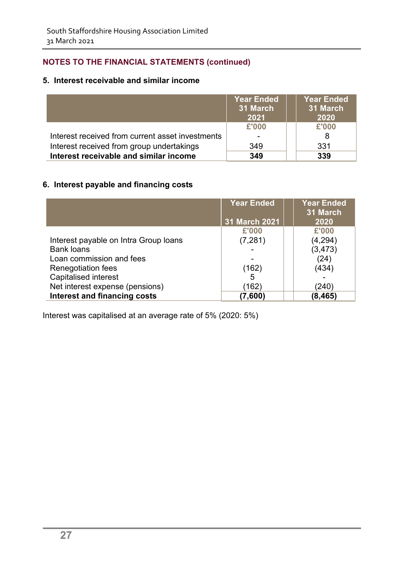### **5. Interest receivable and similar income**

|                                                  | <b>Year Ended</b><br>31 March<br>2021 | <b>Year Ended</b><br>31 March<br>2020 |
|--------------------------------------------------|---------------------------------------|---------------------------------------|
|                                                  | £'000                                 | £'000                                 |
| Interest received from current asset investments |                                       | 8                                     |
| Interest received from group undertakings        | 349                                   | 331                                   |
| Interest receivable and similar income           | 349                                   | 339                                   |

### **6. Interest payable and financing costs**

|                                       | <b>Year Ended</b><br>31 March 2021 | <b>Year Ended</b><br>31 March<br>2020 |
|---------------------------------------|------------------------------------|---------------------------------------|
|                                       | £'000                              | £'000                                 |
| Interest payable on Intra Group Ioans | (7, 281)                           | (4, 294)                              |
| <b>Bank loans</b>                     |                                    | (3, 473)                              |
| Loan commission and fees              |                                    | (24)                                  |
| <b>Renegotiation fees</b>             | (162)                              | (434)                                 |
| <b>Capitalised interest</b>           | 5                                  |                                       |
| Net interest expense (pensions)       | (162)                              | (240)                                 |
| <b>Interest and financing costs</b>   | (7,600)                            | (8, 465)                              |

Interest was capitalised at an average rate of 5% (2020: 5%)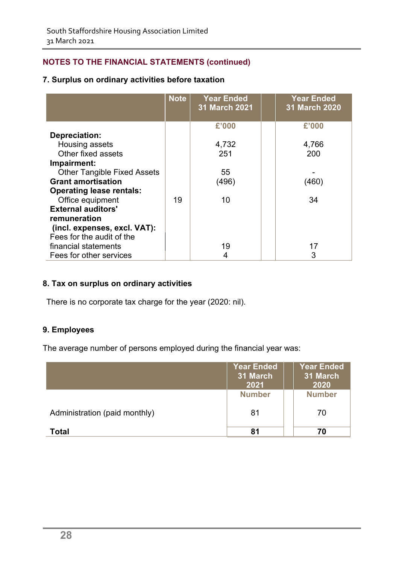### **7. Surplus on ordinary activities before taxation**

|                                    | <b>Note</b> | <b>Year Ended</b><br><b>31 March 2021</b> | <b>Year Ended</b><br><b>31 March 2020</b> |
|------------------------------------|-------------|-------------------------------------------|-------------------------------------------|
|                                    |             |                                           |                                           |
|                                    |             | £'000                                     | £'000                                     |
| Depreciation:                      |             |                                           |                                           |
| Housing assets                     |             | 4,732                                     | 4,766                                     |
| Other fixed assets                 |             | 251                                       | 200                                       |
| Impairment:                        |             |                                           |                                           |
| <b>Other Tangible Fixed Assets</b> |             | 55                                        |                                           |
| <b>Grant amortisation</b>          |             | (496)                                     | (460)                                     |
| <b>Operating lease rentals:</b>    |             |                                           |                                           |
| Office equipment                   | 19          | 10                                        | 34                                        |
| <b>External auditors'</b>          |             |                                           |                                           |
| remuneration                       |             |                                           |                                           |
| (incl. expenses, excl. VAT):       |             |                                           |                                           |
| Fees for the audit of the          |             |                                           |                                           |
| financial statements               |             | 19                                        | 17                                        |
| Fees for other services            |             |                                           | 3                                         |

### **8. Tax on surplus on ordinary activities**

There is no corporate tax charge for the year (2020: nil).

### **9. Employees**

The average number of persons employed during the financial year was:

|                               | <b>Year Ended</b><br>31 March<br>2021 | <b>Year Ended</b><br>31 March<br>2020 |
|-------------------------------|---------------------------------------|---------------------------------------|
|                               | <b>Number</b>                         | <b>Number</b>                         |
| Administration (paid monthly) | 81                                    | 70                                    |
| <b>Total</b>                  | 81                                    | 70                                    |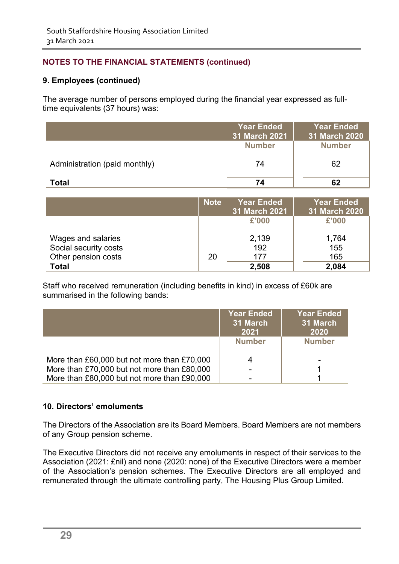### **9. Employees (continued)**

The average number of persons employed during the financial year expressed as fulltime equivalents (37 hours) was:

|                               | <b>Year Ended</b><br>31 March 2021 | <b>Year Ended</b><br>31 March 2020 |
|-------------------------------|------------------------------------|------------------------------------|
|                               | <b>Number</b>                      | <b>Number</b>                      |
| Administration (paid monthly) | 74                                 | 62                                 |
| Total                         | 74                                 | 62                                 |

|                       | <b>Note</b> | <b>Year Ended</b><br>31 March 2021 | <u>Year Ended</u><br>31 March 2020 |
|-----------------------|-------------|------------------------------------|------------------------------------|
|                       |             | £'000                              | £'000                              |
| Wages and salaries    |             | 2,139                              | 1,764                              |
| Social security costs |             | 192                                | 155                                |
| Other pension costs   | 20          | 177                                | 165                                |
| <b>Total</b>          |             | 2,508                              | 2,084                              |

Staff who received remuneration (including benefits in kind) in excess of £60k are summarised in the following bands:

|                                             | <b>Year Ended</b><br>31 March<br>2021 | <b>Year Ended</b><br>31 March<br>2020 |
|---------------------------------------------|---------------------------------------|---------------------------------------|
|                                             | <b>Number</b>                         | <b>Number</b>                         |
| More than £60,000 but not more than £70,000 |                                       |                                       |
| More than £70,000 but not more than £80,000 |                                       |                                       |
| More than £80,000 but not more than £90,000 |                                       |                                       |

### **10. Directors' emoluments**

The Directors of the Association are its Board Members. Board Members are not members of any Group pension scheme.

The Executive Directors did not receive any emoluments in respect of their services to the Association (2021: £nil) and none (2020: none) of the Executive Directors were a member of the Association's pension schemes. The Executive Directors are all employed and remunerated through the ultimate controlling party, The Housing Plus Group Limited.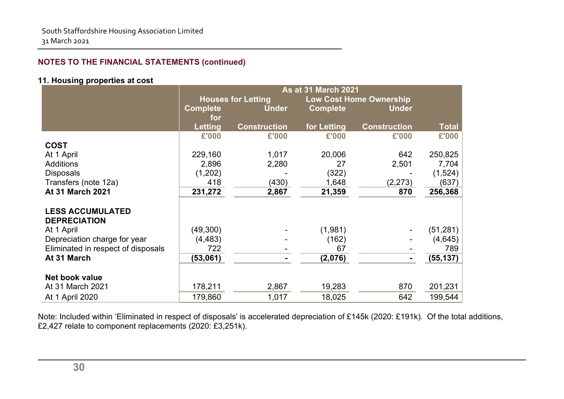### **11. Housing properties at cost**

|                                    | <b>As at 31 March 2021</b> |                           |                 |                                |              |  |
|------------------------------------|----------------------------|---------------------------|-----------------|--------------------------------|--------------|--|
|                                    |                            | <b>Houses for Letting</b> |                 | <b>Low Cost Home Ownership</b> |              |  |
|                                    | <b>Complete</b>            | <b>Under</b>              | <b>Complete</b> | <b>Under</b>                   |              |  |
|                                    | for                        |                           |                 |                                |              |  |
|                                    | <b>Letting</b>             | <b>Construction</b>       | for Letting     | <b>Construction</b>            | <b>Total</b> |  |
|                                    | £'000                      | £'000                     | £'000           | £'000                          | £'000        |  |
| <b>COST</b>                        |                            |                           |                 |                                |              |  |
| At 1 April                         | 229,160                    | 1,017                     | 20,006          | 642                            | 250,825      |  |
| <b>Additions</b>                   | 2,896                      | 2,280                     | 27              | 2,501                          | 7,704        |  |
| <b>Disposals</b>                   | (1,202)                    |                           | (322)           |                                | (1,524)      |  |
| Transfers (note 12a)               | 418                        | (430)                     | 1,648           | (2, 273)                       | (637)        |  |
| <b>At 31 March 2021</b>            | 231,272                    | 2,867                     | 21,359          | 870                            | 256,368      |  |
|                                    |                            |                           |                 |                                |              |  |
| <b>LESS ACCUMULATED</b>            |                            |                           |                 |                                |              |  |
| <b>DEPRECIATION</b>                |                            |                           |                 |                                |              |  |
| At 1 April                         | (49, 300)                  |                           | (1,981)         |                                | (51, 281)    |  |
| Depreciation charge for year       | (4, 483)                   |                           | (162)           |                                | (4,645)      |  |
| Eliminated in respect of disposals | 722                        |                           | 67              |                                | 789          |  |
| At 31 March                        | (53,061)                   |                           | (2,076)         |                                | (55, 137)    |  |
|                                    |                            |                           |                 |                                |              |  |
| Net book value                     |                            |                           |                 |                                |              |  |
| At 31 March 2021                   | 178,211                    | 2,867                     | 19,283          | 870                            | 201,231      |  |
| At 1 April 2020                    | 179,860                    | 1,017                     | 18,025          | 642                            | 199,544      |  |

Note: Included within 'Eliminated in respect of disposals' is accelerated depreciation of £145k (2020: £191k). Of the total additions, £2,427 relate to component replacements (2020: £3,251k).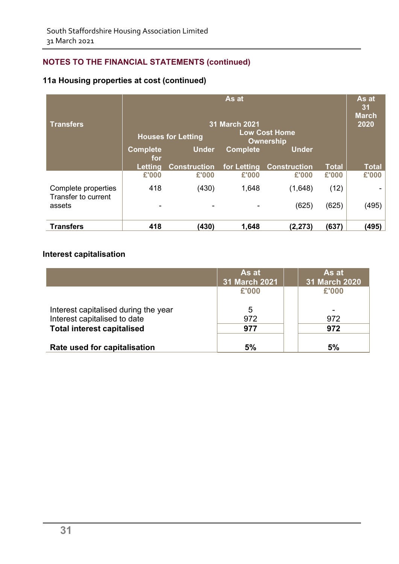### **11a Housing properties at cost (continued)**

| <b>Transfers</b>                           | As at<br>31 March 2021<br>Low Cost Home<br><b>Houses for Letting</b><br>Ownership |                     |                 |                     | As at<br>31<br><b>March</b><br>2020 |              |
|--------------------------------------------|-----------------------------------------------------------------------------------|---------------------|-----------------|---------------------|-------------------------------------|--------------|
|                                            | <b>Complete</b><br>for                                                            | <b>Under</b>        | <b>Complete</b> | <b>Under</b>        |                                     |              |
|                                            | Letting                                                                           | <b>Construction</b> | for Letting     | <b>Construction</b> | <b>Total</b>                        | <b>Total</b> |
|                                            | £'000                                                                             | £'000               | £'000           | £'000               | £'000                               | £'000        |
| Complete properties<br>Transfer to current | 418                                                                               | (430)               | 1,648           | (1,648)             | (12)                                |              |
| assets                                     |                                                                                   |                     |                 | (625)               | (625)                               | (495)        |
| <b>Transfers</b>                           | 418                                                                               | (430)               | 1,648           | (2, 273)            | (637)                               | (495)        |

### **Interest capitalisation**

|                                      | As at<br><b>31 March 2021</b> | As at<br>31 March 2020 |
|--------------------------------------|-------------------------------|------------------------|
|                                      | £'000                         | £'000                  |
| Interest capitalised during the year | 5                             | ۰                      |
| Interest capitalised to date         | 972                           | 972                    |
| <b>Total interest capitalised</b>    | 977                           | 972                    |
| Rate used for capitalisation         | 5%                            | 5%                     |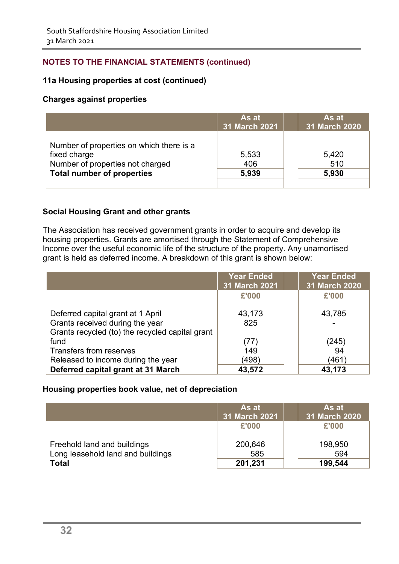### **11a Housing properties at cost (continued)**

### **Charges against properties**

|                                                                                                                                   | As at<br>31 March 2021 | As at<br>31 March 2020 |
|-----------------------------------------------------------------------------------------------------------------------------------|------------------------|------------------------|
| Number of properties on which there is a<br>fixed charge<br>Number of properties not charged<br><b>Total number of properties</b> | 5,533<br>406<br>5,939  | 5,420<br>510<br>5,930  |

### **Social Housing Grant and other grants**

The Association has received government grants in order to acquire and develop its housing properties. Grants are amortised through the Statement of Comprehensive Income over the useful economic life of the structure of the property. Any unamortised grant is held as deferred income. A breakdown of this grant is shown below:

|                                                 | <b>Year Ended</b><br>31 March 2021 | <b>Year Ended</b><br>31 March 2020 |
|-------------------------------------------------|------------------------------------|------------------------------------|
|                                                 | £'000                              | £'000                              |
| Deferred capital grant at 1 April               | 43,173                             | 43,785                             |
| Grants received during the year                 | 825                                |                                    |
| Grants recycled (to) the recycled capital grant |                                    |                                    |
| fund                                            | (77)                               | (245)                              |
| Transfers from reserves                         | 149                                | 94                                 |
| Released to income during the year              | (498)                              | (461`                              |
| Deferred capital grant at 31 March              | 43,572                             | 43,173                             |

#### **Housing properties book value, net of depreciation**

|                                                   | As at<br>31 March 2021 | As at<br>31 March 2020 |
|---------------------------------------------------|------------------------|------------------------|
|                                                   | £'000                  | £'000                  |
| Freehold land and buildings                       | 200,646                | 198,950<br>594         |
| Long leasehold land and buildings<br><b>Total</b> | 585<br>201,231         | 199,544                |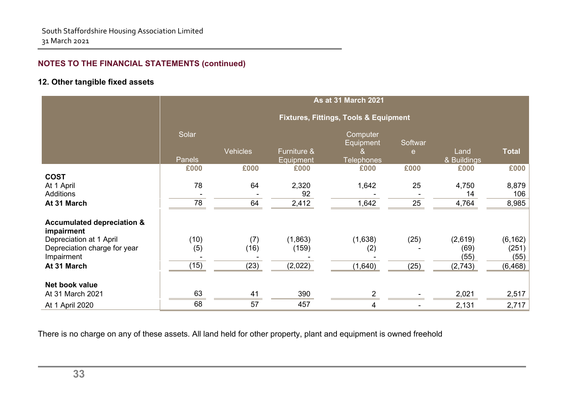### **12. Other tangible fixed assets**

|                                                       | <b>As at 31 March 2021</b> |                 |                          |                                                  |              |                      |                       |
|-------------------------------------------------------|----------------------------|-----------------|--------------------------|--------------------------------------------------|--------------|----------------------|-----------------------|
|                                                       |                            |                 |                          | <b>Fixtures, Fittings, Tools &amp; Equipment</b> |              |                      |                       |
|                                                       | Solar<br><b>Panels</b>     | <b>Vehicles</b> | Furniture &<br>Equipment | Computer<br>Equipment<br><b>Telephones</b>       | Softwar<br>e | Land<br>& Buildings  | <b>Total</b>          |
|                                                       | £000                       | £000            | £000                     | £000                                             | £000         | £000                 | £000                  |
| <b>COST</b><br>At 1 April<br>Additions<br>At 31 March | 78<br>78                   | 64<br>64        | 2,320<br>92<br>2,412     | 1,642<br>1,642                                   | 25<br>25     | 4,750<br>14<br>4,764 | 8,879<br>106<br>8,985 |
| <b>Accumulated depreciation &amp;</b><br>impairment   |                            |                 |                          |                                                  |              |                      |                       |
| Depreciation at 1 April                               | (10)                       | (7)             | (1,863)                  | (1,638)                                          | (25)         | (2,619)              | (6, 162)              |
| Depreciation charge for year<br>Impairment            | (5)                        | (16)            | (159)                    | (2)                                              |              | (69)<br>(55)         | (251)  <br>(55)       |
| At 31 March                                           | (15)                       | (23)            | (2,022)                  | (1,640)                                          | (25)         | (2,743)              | (6, 468)              |
| Net book value                                        |                            |                 |                          |                                                  |              |                      |                       |
| At 31 March 2021                                      | 63                         | 41              | 390                      | $\overline{2}$                                   |              | 2,021                | 2,517                 |
| At 1 April 2020                                       | 68                         | 57              | 457                      | 4                                                |              | 2,131                | 2,717                 |

There is no charge on any of these assets. All land held for other property, plant and equipment is owned freehold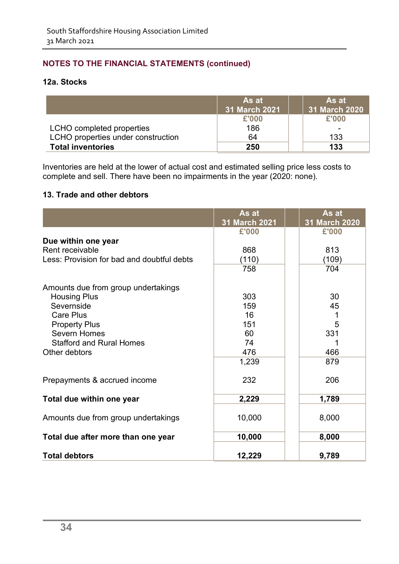### **12a. Stocks**

|                                    | As at<br>31 March 2021 | As at<br>31 March 2020 |
|------------------------------------|------------------------|------------------------|
|                                    | £'000                  | £'000                  |
| LCHO completed properties          | 186                    |                        |
| LCHO properties under construction | 64                     | 133                    |
| <b>Total inventories</b>           | 250                    | 133                    |

Inventories are held at the lower of actual cost and estimated selling price less costs to complete and sell. There have been no impairments in the year (2020: none).

### **13. Trade and other debtors**

|                                            | As at<br>31 March 2021 | As at<br>31 March 2020 |
|--------------------------------------------|------------------------|------------------------|
|                                            | £'000                  | £'000                  |
| Due within one year                        |                        |                        |
| Rent receivable                            | 868                    | 813                    |
| Less: Provision for bad and doubtful debts | (110)                  | (109)                  |
|                                            | 758                    | 704                    |
| Amounts due from group undertakings        |                        |                        |
| <b>Housing Plus</b>                        | 303                    | 30                     |
| Severnside                                 | 159                    | 45                     |
| <b>Care Plus</b>                           | 16                     | 1                      |
| <b>Property Plus</b>                       | 151                    | 5                      |
| <b>Severn Homes</b>                        | 60                     | 331                    |
| <b>Stafford and Rural Homes</b>            | 74                     |                        |
| Other debtors                              | 476                    | 466                    |
|                                            | 1,239                  | 879                    |
| Prepayments & accrued income               | 232                    | 206                    |
| Total due within one year                  | 2,229                  | 1,789                  |
| Amounts due from group undertakings        | 10,000                 | 8,000                  |
| Total due after more than one year         | 10,000                 | 8,000                  |
| <b>Total debtors</b>                       | 12,229                 | 9,789                  |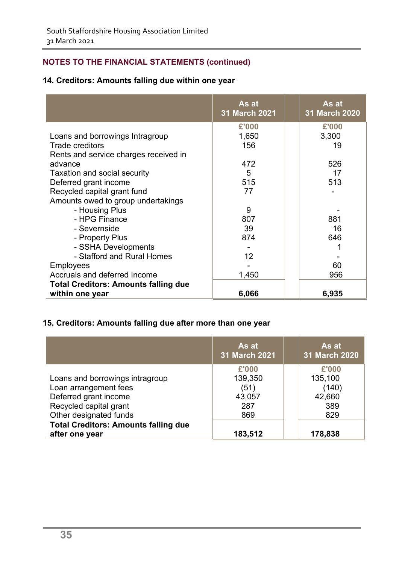### **14. Creditors: Amounts falling due within one year**

|                                             | As at<br>31 March 2021 | As at<br><b>31 March 2020</b> |
|---------------------------------------------|------------------------|-------------------------------|
|                                             | £'000                  | £'000                         |
| Loans and borrowings Intragroup             | 1,650                  | 3,300                         |
| <b>Trade creditors</b>                      | 156                    | 19                            |
| Rents and service charges received in       |                        |                               |
| advance                                     | 472                    | 526                           |
| Taxation and social security                | 5                      | 17                            |
| Deferred grant income                       | 515                    | 513                           |
| Recycled capital grant fund                 | 77                     |                               |
| Amounts owed to group undertakings          |                        |                               |
| - Housing Plus                              | 9                      |                               |
| - HPG Finance                               | 807                    | 881                           |
| - Severnside                                | 39                     | 16                            |
| - Property Plus                             | 874                    | 646                           |
| - SSHA Developments                         |                        |                               |
| - Stafford and Rural Homes                  | 12                     |                               |
| <b>Employees</b>                            |                        | 60                            |
| Accruals and deferred Income                | 1,450                  | 956                           |
| <b>Total Creditors: Amounts falling due</b> |                        |                               |
| within one year                             | 6,066                  | 6,935                         |

### **15. Creditors: Amounts falling due after more than one year**

|                                             | As at<br><b>31 March 2021</b> | As at<br>31 March 2020 |
|---------------------------------------------|-------------------------------|------------------------|
|                                             | £'000                         | £'000                  |
| Loans and borrowings intragroup             | 139,350                       | 135,100                |
| Loan arrangement fees                       | (51)                          | (140)                  |
| Deferred grant income                       | 43,057                        | 42,660                 |
| Recycled capital grant                      | 287                           | 389                    |
| Other designated funds                      | 869                           | 829                    |
| <b>Total Creditors: Amounts falling due</b> |                               |                        |
| after one year                              | 183,512                       | 178,838                |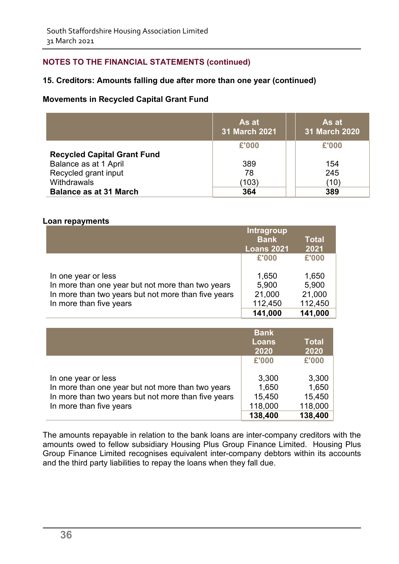### **15. Creditors: Amounts falling due after more than one year (continued)**

### **Movements in Recycled Capital Grant Fund**

|                                    | As at<br><b>31 March 2021</b> | As at<br><b>31 March 2020</b> |
|------------------------------------|-------------------------------|-------------------------------|
|                                    | £'000                         | £'000                         |
| <b>Recycled Capital Grant Fund</b> |                               |                               |
| Balance as at 1 April              | 389                           | 154                           |
| Recycled grant input               | 78                            | 245                           |
| Withdrawals                        | (103)                         | (10`                          |
| <b>Balance as at 31 March</b>      | 364                           | 389                           |

#### **Loan repayments**

|                                                     | Intragroup        |              |
|-----------------------------------------------------|-------------------|--------------|
|                                                     | <b>Bank</b>       | <b>Total</b> |
|                                                     | <b>Loans 2021</b> | 2021         |
|                                                     | £'000             | £'000        |
| In one year or less                                 | 1,650             | 1,650        |
| In more than one year but not more than two years   | 5,900             | 5,900        |
| In more than two years but not more than five years | 21,000            | 21,000       |
| In more than five years                             | 112,450           | 112,450      |
|                                                     | 141,000           | 141,000      |

|                                                     | <b>Bank</b>  |              |  |
|-----------------------------------------------------|--------------|--------------|--|
|                                                     | <b>Loans</b> | <b>Total</b> |  |
|                                                     | 2020         | 2020         |  |
|                                                     | £'000        | £'000        |  |
| In one year or less                                 | 3,300        | 3,300        |  |
| In more than one year but not more than two years   | 1,650        | 1,650        |  |
| In more than two years but not more than five years | 15,450       | 15,450       |  |
| In more than five years                             | 118,000      | 118,000      |  |
|                                                     | 138,400      | 138,400      |  |

The amounts repayable in relation to the bank loans are inter-company creditors with the amounts owed to fellow subsidiary Housing Plus Group Finance Limited. Housing Plus Group Finance Limited recognises equivalent inter-company debtors within its accounts and the third party liabilities to repay the loans when they fall due.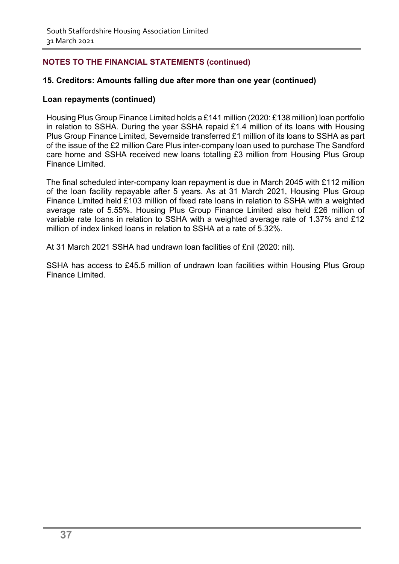### **15. Creditors: Amounts falling due after more than one year (continued)**

#### **Loan repayments (continued)**

Housing Plus Group Finance Limited holds a £141 million (2020: £138 million) loan portfolio in relation to SSHA. During the year SSHA repaid £1.4 million of its loans with Housing Plus Group Finance Limited, Severnside transferred £1 million of its loans to SSHA as part of the issue of the £2 million Care Plus inter-company loan used to purchase The Sandford care home and SSHA received new loans totalling £3 million from Housing Plus Group Finance Limited.

The final scheduled inter-company loan repayment is due in March 2045 with £112 million of the loan facility repayable after 5 years. As at 31 March 2021, Housing Plus Group Finance Limited held £103 million of fixed rate loans in relation to SSHA with a weighted average rate of 5.55%. Housing Plus Group Finance Limited also held £26 million of variable rate loans in relation to SSHA with a weighted average rate of 1.37% and £12 million of index linked loans in relation to SSHA at a rate of 5.32%.

At 31 March 2021 SSHA had undrawn loan facilities of £nil (2020: nil).

SSHA has access to £45.5 million of undrawn loan facilities within Housing Plus Group Finance Limited.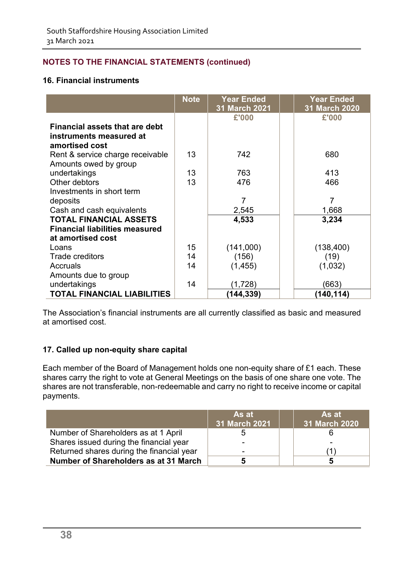### **16. Financial instruments**

|                                       | <b>Note</b> | <b>Year Ended</b><br>31 March 2021 | <b>Year Ended</b><br>31 March 2020 |
|---------------------------------------|-------------|------------------------------------|------------------------------------|
|                                       |             | £'000                              | £'000                              |
| <b>Financial assets that are debt</b> |             |                                    |                                    |
| instruments measured at               |             |                                    |                                    |
| amortised cost                        |             |                                    |                                    |
| Rent & service charge receivable      | 13          | 742                                | 680                                |
| Amounts owed by group                 |             |                                    |                                    |
| undertakings                          | 13          | 763                                | 413                                |
| Other debtors                         | 13          | 476                                | 466                                |
| Investments in short term             |             |                                    |                                    |
| deposits                              |             | $\overline{7}$                     | $\overline{7}$                     |
| Cash and cash equivalents             |             | 2,545                              | 1,668                              |
| <b>TOTAL FINANCIAL ASSETS</b>         |             | 4,533                              | 3,234                              |
| <b>Financial liabilities measured</b> |             |                                    |                                    |
| at amortised cost                     |             |                                    |                                    |
| Loans                                 | 15          | (141,000)                          | (138, 400)                         |
| <b>Trade creditors</b>                | 14          | (156)                              | (19)                               |
| Accruals                              | 14          | (1, 455)                           | (1,032)                            |
| Amounts due to group                  |             |                                    |                                    |
| undertakings                          | 14          | (1,728)                            | (663)                              |
| <b>TOTAL FINANCIAL LIABILITIES</b>    |             | (144,339)                          | (140,114)                          |

The Association's financial instruments are all currently classified as basic and measured at amortised cost.

### **17. Called up non-equity share capital**

Each member of the Board of Management holds one non-equity share of £1 each. These shares carry the right to vote at General Meetings on the basis of one share one vote. The shares are not transferable, non-redeemable and carry no right to receive income or capital payments.

|                                           | As at<br>31 March 2021 | As at<br>31 March 2020 |
|-------------------------------------------|------------------------|------------------------|
| Number of Shareholders as at 1 April      | b                      |                        |
| Shares issued during the financial year   |                        |                        |
| Returned shares during the financial year |                        |                        |
| Number of Shareholders as at 31 March     |                        | 5                      |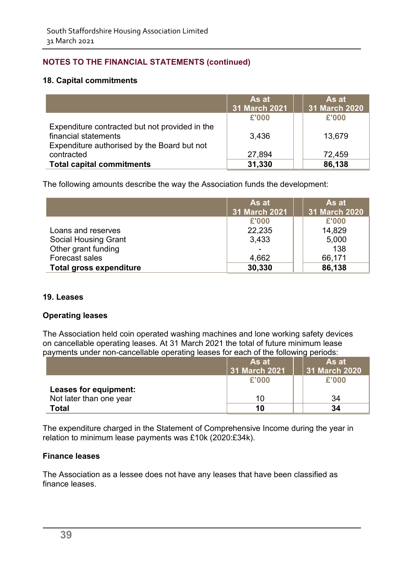#### **18. Capital commitments**

|                                                                                                                       | As at<br>31 March 2021 | As at<br>31 March 2020 |
|-----------------------------------------------------------------------------------------------------------------------|------------------------|------------------------|
|                                                                                                                       | £'000                  | £'000                  |
| Expenditure contracted but not provided in the<br>financial statements<br>Expenditure authorised by the Board but not | 3,436                  | 13,679                 |
| contracted                                                                                                            | 27,894                 | 72,459                 |
| <b>Total capital commitments</b>                                                                                      | 31,330                 | 86,138                 |

The following amounts describe the way the Association funds the development:

|                                | As at<br>31 March 2021 | As at<br>31 March 2020 |
|--------------------------------|------------------------|------------------------|
|                                | £'000                  | £'000                  |
| Loans and reserves             | 22,235                 | 14,829                 |
| <b>Social Housing Grant</b>    | 3,433                  | 5,000                  |
| Other grant funding            |                        | 138                    |
| Forecast sales                 | 4,662                  | 66,171                 |
| <b>Total gross expenditure</b> | 30,330                 | 86,138                 |

#### **19. Leases**

### **Operating leases**

The Association held coin operated washing machines and lone working safety devices on cancellable operating leases. At 31 March 2021 the total of future minimum lease payments under non-cancellable operating leases for each of the following periods:

|                         | As at         | As at         |
|-------------------------|---------------|---------------|
|                         | 31 March 2021 | 31 March 2020 |
|                         | £'000         | £'000         |
| Leases for equipment:   |               |               |
| Not later than one year |               | 34            |
| Total                   | 10            | 34            |

The expenditure charged in the Statement of Comprehensive Income during the year in relation to minimum lease payments was £10k (2020:£34k).

#### **Finance leases**

The Association as a lessee does not have any leases that have been classified as finance leases.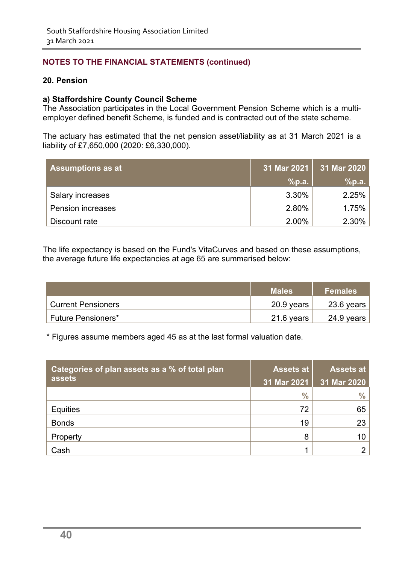#### **20. Pension**

#### **a) Staffordshire County Council Scheme**

The Association participates in the Local Government Pension Scheme which is a multiemployer defined benefit Scheme, is funded and is contracted out of the state scheme.

The actuary has estimated that the net pension asset/liability as at 31 March 2021 is a liability of £7,650,000 (2020: £6,330,000).

| <b>Assumptions as at</b> |       | 31 Mar 2021 31 Mar 2020 |
|--------------------------|-------|-------------------------|
|                          | %p.a. | %p.a.                   |
| <b>Salary increases</b>  | 3.30% | 2.25%                   |
| <b>Pension increases</b> | 2.80% | 1.75%                   |
| Discount rate            | 2.00% | 2.30%                   |

The life expectancy is based on the Fund's VitaCurves and based on these assumptions, the average future life expectancies at age 65 are summarised below:

|                           | <b>Males</b> | <b>Females</b> |
|---------------------------|--------------|----------------|
| ∣ Current Pensioners i    | 20.9 years   | 23.6 years     |
| <b>Future Pensioners*</b> | 21.6 years   | 24.9 years     |

\* Figures assume members aged 45 as at the last formal valuation date.

| Categories of plan assets as a % of total plan | <b>Assets at</b> | <b>Assets at</b> |
|------------------------------------------------|------------------|------------------|
| assets                                         | 31 Mar 2021      | 31 Mar 2020      |
|                                                | $\frac{6}{6}$    | $\frac{0}{0}$    |
| <b>Equities</b>                                | 72               | 65               |
| <b>Bonds</b>                                   | 19               | 23               |
| Property                                       | 8                | 10               |
| Cash                                           | 1                | ⌒                |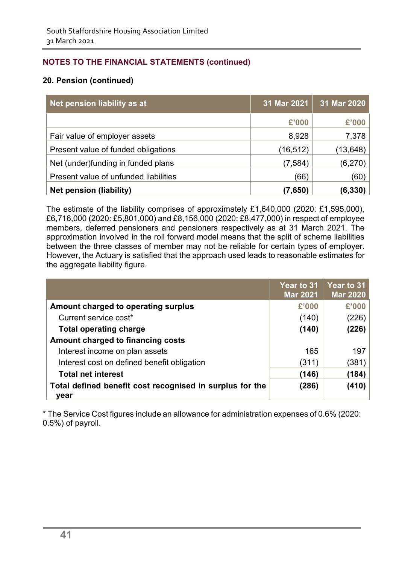### **20. Pension (continued)**

| Net pension liability as at           | 31 Mar 2021 | 31 Mar 2020 |
|---------------------------------------|-------------|-------------|
|                                       | £'000       | £'000       |
| Fair value of employer assets         | 8,928       | 7,378       |
| Present value of funded obligations   | (16, 512)   | (13, 648)   |
| Net (under)funding in funded plans    | (7, 584)    | (6, 270)    |
| Present value of unfunded liabilities | (66)        | (60)        |
| <b>Net pension (liability)</b>        | (7,650)     | (6, 330)    |

The estimate of the liability comprises of approximately £1,640,000 (2020: £1,595,000), £6,716,000 (2020: £5,801,000) and £8,156,000 (2020: £8,477,000) in respect of employee members, deferred pensioners and pensioners respectively as at 31 March 2021. The approximation involved in the roll forward model means that the split of scheme liabilities between the three classes of member may not be reliable for certain types of employer. However, the Actuary is satisfied that the approach used leads to reasonable estimates for the aggregate liability figure.

|                                                                  | Year to 31<br><b>Mar 2021</b> | <b>Year to 31</b><br><b>Mar 2020</b> |
|------------------------------------------------------------------|-------------------------------|--------------------------------------|
| Amount charged to operating surplus                              | £'000                         | £'000                                |
| Current service cost*                                            | (140)                         | (226)                                |
| <b>Total operating charge</b>                                    | (140)                         | (226)                                |
| Amount charged to financing costs                                |                               |                                      |
| Interest income on plan assets                                   | 165                           | 197                                  |
| Interest cost on defined benefit obligation                      | (311)                         | (381)                                |
| <b>Total net interest</b>                                        | (146)                         | (184)                                |
| Total defined benefit cost recognised in surplus for the<br>vear | (286)                         | (410)                                |

\* The Service Cost figures include an allowance for administration expenses of 0.6% (2020: 0.5%) of payroll.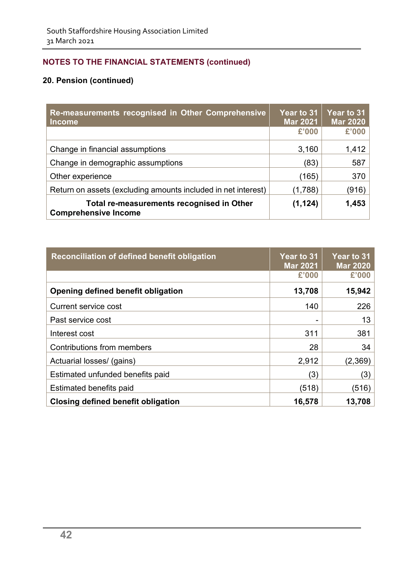| Re-measurements recognised in Other Comprehensive<br><b>Income</b>       | Year to 31<br><b>Mar 2021</b> | Year to 31<br><b>Mar 2020</b> |
|--------------------------------------------------------------------------|-------------------------------|-------------------------------|
|                                                                          | £'000                         | £'000                         |
| Change in financial assumptions                                          | 3,160                         | 1,412                         |
| Change in demographic assumptions                                        | (83)                          | 587                           |
| Other experience                                                         | (165)                         | 370                           |
| Return on assets (excluding amounts included in net interest)            | (1,788)                       | (916)                         |
| Total re-measurements recognised in Other<br><b>Comprehensive Income</b> | (1, 124)                      | 1,453                         |

| Reconciliation of defined benefit obligation | Year to 31<br><b>Mar 2021</b> | <b>Year to 31</b><br><b>Mar 2020</b> |
|----------------------------------------------|-------------------------------|--------------------------------------|
|                                              | £'000                         | £'000                                |
| Opening defined benefit obligation           | 13,708                        | 15,942                               |
| <b>Current service cost</b>                  | 140                           | 226                                  |
| Past service cost                            |                               | 13                                   |
| Interest cost                                | 311                           | 381                                  |
| Contributions from members                   | 28                            | 34                                   |
| Actuarial losses/ (gains)                    | 2,912                         | (2,369)                              |
| Estimated unfunded benefits paid             | (3)                           | (3)                                  |
| Estimated benefits paid                      | (518)                         | (516)                                |
| Closing defined benefit obligation           | 16,578                        | 13,708                               |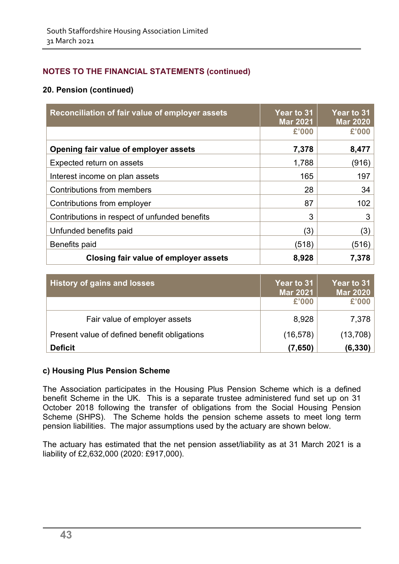### **20. Pension (continued)**

| Reconciliation of fair value of employer assets | Year to 31<br><b>Mar 2021</b> | Year to 31<br><b>Mar 2020</b> |
|-------------------------------------------------|-------------------------------|-------------------------------|
|                                                 | £'000                         | £'000                         |
| Opening fair value of employer assets           | 7,378                         | 8,477                         |
| Expected return on assets                       | 1,788                         | (916)                         |
| Interest income on plan assets                  | 165                           | 197                           |
| Contributions from members                      | 28                            | 34                            |
| Contributions from employer                     | 87                            | 102                           |
| Contributions in respect of unfunded benefits   | 3                             | 3                             |
| Unfunded benefits paid                          | (3)                           | (3)                           |
| Benefits paid                                   | (518)                         | (516)                         |
| Closing fair value of employer assets           | 8,928                         | 7,378                         |

| <b>History of gains and losses</b>           | Year to 31<br><b>Mar 2021</b> | Year to 31<br><b>Mar 2020</b> |
|----------------------------------------------|-------------------------------|-------------------------------|
|                                              | £'000                         | £'000                         |
| Fair value of employer assets                | 8,928                         | 7,378                         |
| Present value of defined benefit obligations | (16, 578)                     | (13,708)                      |
| <b>Deficit</b>                               | (7,650)                       | (6,330)                       |

### **c) Housing Plus Pension Scheme**

The Association participates in the Housing Plus Pension Scheme which is a defined benefit Scheme in the UK. This is a separate trustee administered fund set up on 31 October 2018 following the transfer of obligations from the Social Housing Pension Scheme (SHPS). The Scheme holds the pension scheme assets to meet long term pension liabilities. The major assumptions used by the actuary are shown below.

The actuary has estimated that the net pension asset/liability as at 31 March 2021 is a liability of £2,632,000 (2020: £917,000).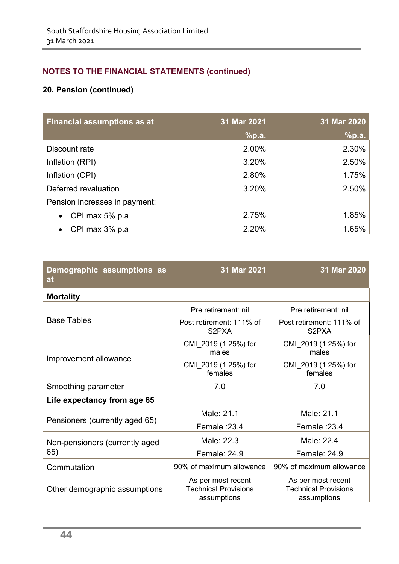| <b>Financial assumptions as at</b> | 31 Mar 2021 | 31 Mar 2020 |
|------------------------------------|-------------|-------------|
|                                    | %p.a.       | %p.a.       |
| Discount rate                      | 2.00%       | 2.30%       |
| Inflation (RPI)                    | 3.20%       | 2.50%       |
| Inflation (CPI)                    | 2.80%       | 1.75%       |
| Deferred revaluation               | 3.20%       | 2.50%       |
| Pension increases in payment:      |             |             |
| CPI max 5% p.a                     | 2.75%       | 1.85%       |
| CPI max 3% p.a                     | 2.20%       | 1.65%       |

| Demographic assumptions as<br>at | 31 Mar 2021                                                      | 31 Mar 2020                                                      |
|----------------------------------|------------------------------------------------------------------|------------------------------------------------------------------|
| <b>Mortality</b>                 |                                                                  |                                                                  |
|                                  | Pre retirement: nil                                              | Pre retirement: nil                                              |
| <b>Base Tables</b>               | Post retirement: 111% of<br>S <sub>2</sub> PXA                   | Post retirement: 111% of<br>S <sub>2</sub> PXA                   |
|                                  | CMI 2019 (1.25%) for<br>males                                    | CMI 2019 (1.25%) for<br>males                                    |
| Improvement allowance            | CMI 2019 (1.25%) for<br>females                                  | CMI 2019 (1.25%) for<br>females                                  |
| Smoothing parameter              | 7.0                                                              | 7.0                                                              |
| Life expectancy from age 65      |                                                                  |                                                                  |
|                                  | Male: 21.1                                                       | Male: 21.1                                                       |
| Pensioners (currently aged 65)   | Female: 23.4                                                     | Female: 23.4                                                     |
| Non-pensioners (currently aged   | Male: 22.3                                                       | Male: 22.4                                                       |
| 65)                              | <b>Female: 24.9</b>                                              | <b>Female: 24.9</b>                                              |
| Commutation                      | 90% of maximum allowance                                         | 90% of maximum allowance                                         |
| Other demographic assumptions    | As per most recent<br><b>Technical Provisions</b><br>assumptions | As per most recent<br><b>Technical Provisions</b><br>assumptions |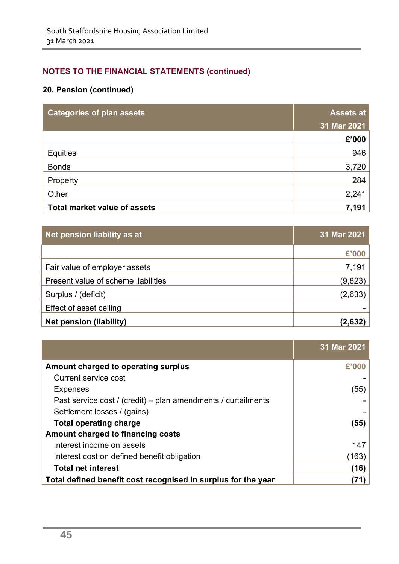| <b>Categories of plan assets</b>    | <b>Assets at</b> |  |
|-------------------------------------|------------------|--|
|                                     | 31 Mar 2021      |  |
|                                     | £'000            |  |
| <b>Equities</b>                     | 946              |  |
| <b>Bonds</b>                        | 3,720            |  |
| Property                            | 284              |  |
| Other                               | 2,241            |  |
| <b>Total market value of assets</b> | 7,191            |  |

| Net pension liability as at         | 31 Mar 2021 |
|-------------------------------------|-------------|
|                                     | £'000       |
| Fair value of employer assets       | 7,191       |
| Present value of scheme liabilities | (9,823)     |
| Surplus / (deficit)                 | (2,633)     |
| Effect of asset ceiling             |             |
| Net pension (liability)             | (2,632)     |

|                                                               | 31 Mar 2021 |
|---------------------------------------------------------------|-------------|
| Amount charged to operating surplus                           | £'000       |
| Current service cost                                          |             |
| <b>Expenses</b>                                               | (55)        |
| Past service cost / (credit) – plan amendments / curtailments |             |
| Settlement losses / (gains)                                   |             |
| <b>Total operating charge</b>                                 | (55)        |
| Amount charged to financing costs                             |             |
| Interest income on assets                                     | 147         |
| Interest cost on defined benefit obligation                   | (163)       |
| <b>Total net interest</b>                                     | (16)        |
| Total defined benefit cost recognised in surplus for the year |             |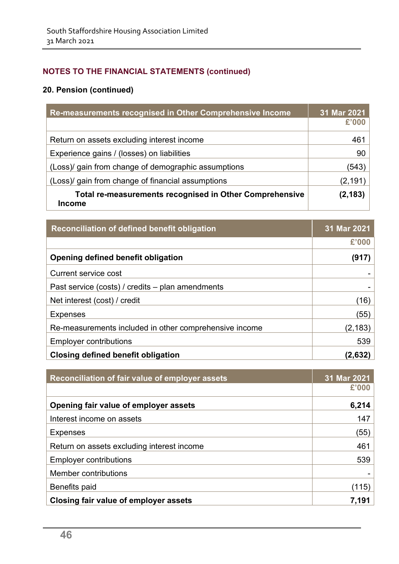| Re-measurements recognised in Other Comprehensive Income                 | 31 Mar 2021 |
|--------------------------------------------------------------------------|-------------|
|                                                                          | £'000       |
| Return on assets excluding interest income                               | 461         |
| Experience gains / (losses) on liabilities                               | 90          |
| (Loss)/ gain from change of demographic assumptions                      | (543)       |
| (Loss)/ gain from change of financial assumptions                        | (2,191      |
| Total re-measurements recognised in Other Comprehensive<br><b>Income</b> | (2, 183)    |

| Reconciliation of defined benefit obligation           | 31 Mar 2021 |
|--------------------------------------------------------|-------------|
|                                                        | £'000       |
| Opening defined benefit obligation                     | (917)       |
| Current service cost                                   |             |
| Past service (costs) / credits – plan amendments       |             |
| Net interest (cost) / credit                           | (16)        |
| <b>Expenses</b>                                        | (55)        |
| Re-measurements included in other comprehensive income | (2, 183)    |
| <b>Employer contributions</b>                          | 539         |
| <b>Closing defined benefit obligation</b>              | (2,632)     |

| Reconciliation of fair value of employer assets | 31 Mar 2021 |
|-------------------------------------------------|-------------|
|                                                 | £'000       |
| Opening fair value of employer assets           | 6,214       |
| Interest income on assets                       | 147         |
| <b>Expenses</b>                                 | (55)        |
| Return on assets excluding interest income      | 461         |
| <b>Employer contributions</b>                   | 539         |
| Member contributions                            |             |
| Benefits paid                                   | (115)       |
| Closing fair value of employer assets           | 7.191       |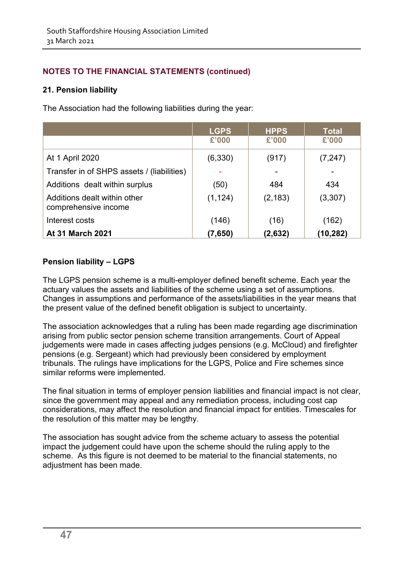### **21. Pension liability**

The Association had the following liabilities during the year:

|                                                      | <b>LGPS</b> | <b>HPPS</b> | <b>Total</b> |
|------------------------------------------------------|-------------|-------------|--------------|
|                                                      | £'000       | £'000       | £'000        |
| At 1 April 2020                                      | (6, 330)    | (917)       | (7, 247)     |
| Transfer in of SHPS assets / (liabilities)           |             |             |              |
| Additions dealt within surplus                       | (50)        | 484         | 434          |
| Additions dealt within other<br>comprehensive income | (1, 124)    | (2, 183)    | (3,307)      |
| Interest costs                                       | (146)       | (16)        | (162)        |
| <b>At 31 March 2021</b>                              | (7,650)     | (2,632)     | (10,282)     |

### **Pension liability – LGPS**

The LGPS pension scheme is a multi-employer defined benefit scheme. Each year the actuary values the assets and liabilities of the scheme using a set of assumptions. Changes in assumptions and performance of the assets/liabilities in the year means that the present value of the defined benefit obligation is subject to uncertainty.

The association acknowledges that a ruling has been made regarding age discrimination arising from public sector pension scheme transition arrangements. Court of Appeal judgements were made in cases affecting judges pensions (e.g. McCloud) and firefighter pensions (e.g. Sergeant) which had previously been considered by employment tribunals. The rulings have implications for the LGPS, Police and Fire schemes since similar reforms were implemented.

The final situation in terms of employer pension liabilities and financial impact is not clear, since the government may appeal and any remediation process, including cost cap considerations, may affect the resolution and financial impact for entities. Timescales for the resolution of this matter may be lengthy.

The association has sought advice from the scheme actuary to assess the potential impact the judgement could have upon the scheme should the ruling apply to the scheme. As this figure is not deemed to be material to the financial statements, no adjustment has been made.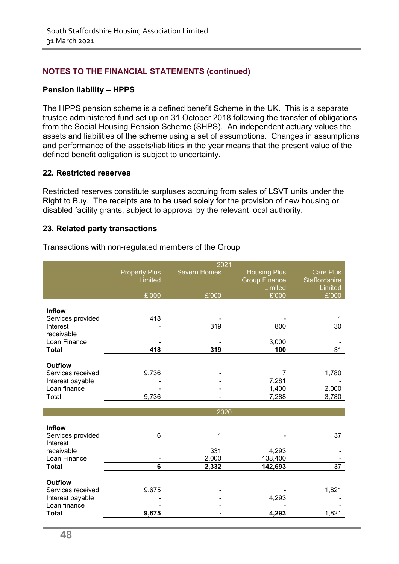#### **Pension liability – HPPS**

The HPPS pension scheme is a defined benefit Scheme in the UK. This is a separate trustee administered fund set up on 31 October 2018 following the transfer of obligations from the Social Housing Pension Scheme (SHPS). An independent actuary values the assets and liabilities of the scheme using a set of assumptions. Changes in assumptions and performance of the assets/liabilities in the year means that the present value of the defined benefit obligation is subject to uncertainty.

#### **22. Restricted reserves**

Restricted reserves constitute surpluses accruing from sales of LSVT units under the Right to Buy. The receipts are to be used solely for the provision of new housing or disabled facility grants, subject to approval by the relevant local authority.

#### **23. Related party transactions**

|                                                                                         |                                 | 2021              |                                                        |                                                     |
|-----------------------------------------------------------------------------------------|---------------------------------|-------------------|--------------------------------------------------------|-----------------------------------------------------|
|                                                                                         | <b>Property Plus</b><br>Limited | Severn Homes      | <b>Housing Plus</b><br><b>Group Finance</b><br>Limited | <b>Care Plus</b><br><b>Staffordshire</b><br>Limited |
|                                                                                         | £'000                           | £'000             | £'000                                                  | £'000                                               |
| <b>Inflow</b><br>Services provided<br>Interest                                          | 418                             | 319               | 800                                                    | 1<br>30                                             |
| receivable<br>Loan Finance                                                              |                                 |                   | 3,000                                                  |                                                     |
| <b>Total</b>                                                                            | 418                             | 319               | 100                                                    | $\overline{31}$                                     |
| <b>Outflow</b><br>Services received<br>Interest payable<br>Loan finance<br>Total        | 9,736<br>9,736                  |                   | 7<br>7,281<br>1,400<br>7,288                           | 1,780<br>2,000<br>3,780                             |
|                                                                                         |                                 |                   |                                                        |                                                     |
|                                                                                         |                                 | 2020              |                                                        |                                                     |
| Inflow<br>Services provided<br>Interest<br>receivable<br>Loan Finance                   | 6                               | 1<br>331<br>2,000 | 4,293<br>138,400                                       | 37                                                  |
| <b>Total</b>                                                                            | 6                               | 2,332             | 142,693                                                | $\overline{37}$                                     |
| <b>Outflow</b><br>Services received<br>Interest payable<br>Loan finance<br><b>Total</b> | 9,675<br>9,675                  |                   | 4,293<br>4,293                                         | 1,821<br>1,821                                      |
|                                                                                         |                                 |                   |                                                        |                                                     |

Transactions with non-regulated members of the Group